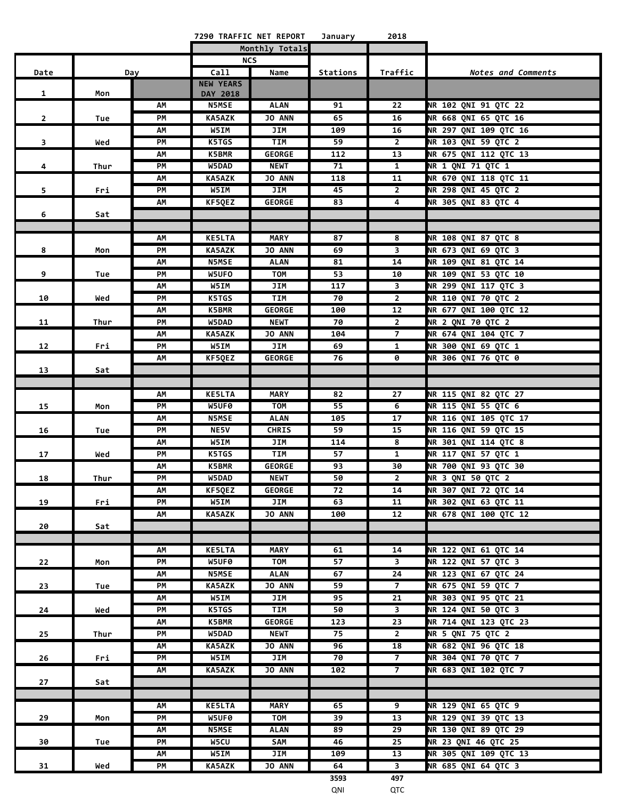|                |      |     | 7290 TRAFFIC NET REPORT |                | January         | 2018                    |                           |
|----------------|------|-----|-------------------------|----------------|-----------------|-------------------------|---------------------------|
|                |      |     |                         | Monthly Totals |                 |                         |                           |
|                |      |     |                         | <b>NCS</b>     |                 |                         |                           |
| Date           |      | Day | Call                    | Name           | Stations        | Traffic                 | <b>Notes and Comments</b> |
|                |      |     | <b>NEW YEARS</b>        |                |                 |                         |                           |
| $\mathbf{1}$   | Mon  |     | DAY 2018                |                |                 |                         |                           |
|                |      | АΜ  | <b>N5MSE</b>            | ALAN           | 91              | 22                      | NR 102 QNI 91 QTC 22      |
| $\mathbf{2}$   | Tue  | PМ  | <b>KA5AZK</b>           | <b>JO ANN</b>  | 65              | 16                      | NR 668 ONI 65 OTC 16      |
|                |      | АΜ  | W5IM                    | JIM            | 109             | 16                      | NR 297 QNI 109 QTC 16     |
| 3              | Wed  | PМ  | K5TGS                   | <b>TIM</b>     | 59              | $2^{\circ}$             | NR 103 QNI 59 QTC 2       |
|                |      | АΜ  | <b>K5BMR</b>            | <b>GEORGE</b>  | 112             | 13                      | NR 675 QNI 112 QTC 13     |
| 4              | Thur | PM  | W5DAD                   | <b>NEWT</b>    | 71              | $\mathbf{1}$            | <b>NR 1 QNI 71 QTC 1</b>  |
|                |      | АΜ  | <b>KA5AZK</b>           | <b>JO ANN</b>  | 118             | 11                      | NR 670 QNI 118 QTC 11     |
| 5 <sup>1</sup> | Fri  | PM  | W5IM                    | JIM            | 45              | $\overline{2}$          | NR 298 QNI 45 QTC 2       |
|                |      | AM  | KF5QEZ                  | <b>GEORGE</b>  | 83              | 4                       | NR 305 QNI 83 QTC 4       |
| 6              | Sat  |     |                         |                |                 |                         |                           |
|                |      |     |                         |                |                 |                         |                           |
|                |      | АΜ  | <b>KE5LTA</b>           | <b>MARY</b>    | 87              | 8                       | NR 108 QNI 87 QTC 8       |
| 8              | Mon  | PM  | <b>KA5AZK</b>           | <b>JO ANN</b>  | 69              | 3                       | NR 673 QNI 69 QTC 3       |
|                |      | АΜ  | <b>N5MSE</b>            | ALAN           | 81              | 14                      | NR 109 QNI 81 QTC 14      |
| 9              | Tue  | PМ  | W5UFO                   | TOM            | 53              | 10                      | NR 109 QNI 53 QTC 10      |
|                |      | АΜ  | W5IM                    | JIM            | 117             | 3                       | NR 299 QNI 117 QTC 3      |
| 10             | Wed  | PМ  | K5TGS                   | TIM            | 70              | $\mathbf{2}$            | NR 110 QNI 70 QTC 2       |
|                |      | АΜ  | <b>K5BMR</b>            | GEORGE         | 100             | 12                      | NR 677 QNI 100 QTC 12     |
| 11             | Thur | PМ  | W5DAD                   | <b>NEWT</b>    | 70              | $\mathbf{2}$            | NR 2 QNI 70 QTC 2         |
|                |      | АΜ  | <b>KA5AZK</b>           | <b>JO ANN</b>  | 104             | $\overline{7}$          | NR 674 QNI 104 QTC 7      |
| 12             | Fri  | PM  | W5IM                    | JIM            | 69              | 1                       | NR 300 QNI 69 QTC 1       |
|                |      | АΜ  | KF5QEZ                  | <b>GEORGE</b>  | 76              | 0                       | NR 306 QNI 76 QTC 0       |
| 13             | Sat  |     |                         |                |                 |                         |                           |
|                |      |     |                         |                |                 |                         |                           |
|                |      | AΜ  | <b>KE5LTA</b>           | <b>MARY</b>    | 82              | 27                      | NR 115 QNI 82 QTC 27      |
| 15             | Mon  | PM  | W5UF0                   | <b>TOM</b>     | 55              | 6                       | NR 115 QNI 55 QTC 6       |
|                |      | АΜ  | <b>N5MSE</b>            | <b>ALAN</b>    | 105             | 17                      | NR 116 QNI 105 QTC 17     |
| 16             | Tue  | PМ  | <b>NE5V</b>             | <b>CHRIS</b>   | 59              | 15                      | NR 116 QNI 59 QTC 15      |
|                |      | АΜ  | W5IM                    | JIM            | 114             | 8                       | NR 301 QNI 114 QTC 8      |
| 17             | Wed  | PM  | K5TGS                   | <b>TIM</b>     | 57              | 1                       | NR 117 QNI 57 QTC 1       |
|                |      | АΜ  | <b>K5BMR</b>            | <b>GEORGE</b>  | 93              | 30                      | NR 700 QNI 93 QTC 30      |
| 18             | Thur | PM  | W5DAD                   | <b>NEWT</b>    | 50              | $\overline{2}$          | NR 3 QNI 50 QTC 2         |
|                |      | АM  | KF5QEZ                  | <b>GEORGE</b>  | 72              | 14                      | NR 307 QNI 72 QTC 14      |
| 19             | Fri  | PM  | W5IM                    | JIM            | 63              | 11                      | NR 302 QNI 63 QTC 11      |
|                |      | AM  | KA5AZK                  | JO ANN         | 100             | 12                      | NR 678 QNI 100 QTC 12     |
| 20             | Sat  |     |                         |                |                 |                         |                           |
|                |      |     |                         |                |                 |                         |                           |
|                |      | АΜ  | <b>KE5LTA</b>           | MARY           | 61              | 14                      | NR 122 QNI 61 QTC 14      |
| 22             | Mon  | РM  | W5UF0                   | TOM            | 57              | $\overline{\mathbf{3}}$ | NR 122 QNI 57 QTC 3       |
|                |      | АΜ  | <b>N5MSE</b>            | <b>ALAN</b>    | 67              | 24                      | NR 123 QNI 67 QTC 24      |
| 23             | Tue  | РM  | <b>KA5AZK</b>           | <b>JO ANN</b>  | 59              | $\overline{7}$          | NR 675 QNI 59 QTC 7       |
|                |      | АΜ  | W5IM                    | JIM            | 95              | 21                      | NR 303 QNI 95 QTC 21      |
| 24             | Wed  | PМ  | K5TGS                   | <b>TIM</b>     | 50              | $\overline{\mathbf{3}}$ | NR 124 QNI 50 QTC 3       |
|                |      | АΜ  | <b>K5BMR</b>            | <b>GEORGE</b>  | 123             | 23                      | NR 714 QNI 123 QTC 23     |
| 25             | Thur | PM  | W5DAD                   | <b>NEWT</b>    | 75              | $2^{\circ}$             | NR 5 QNI 75 QTC 2         |
|                |      | АΜ  | <b>KA5AZK</b>           | <b>JO ANN</b>  | 96              | 18                      | NR 682 QNI 96 QTC 18      |
| 26             | Fri  | PM  | W5IM                    | <b>JIM</b>     | $\overline{70}$ | $\overline{7}$          | NR 304 QNI 70 QTC 7       |
|                |      | АΜ  | KA5AZK                  | <b>JO ANN</b>  | 102             | $\overline{7}$          | NR 683 QNI 102 QTC 7      |
| 27             | Sat  |     |                         |                |                 |                         |                           |
|                |      |     |                         |                |                 |                         |                           |
|                |      | АΜ  | <b>KE5LTA</b>           | <b>MARY</b>    | 65              | 9                       | NR 129 QNI 65 QTC 9       |
| 29             | Mon  | PM  | W5UF0                   | <b>TOM</b>     | 39              | 13                      | NR 129 QNI 39 QTC 13      |
|                |      | AM  | <b>N5MSE</b>            | <b>ALAN</b>    | 89              | 29                      | NR 130 QNI 89 QTC 29      |
| 30             | Tue  | PM  | W5CU                    | SAM            | 46              | 25                      | NR 23 QNI 46 QTC 25       |
|                |      | АΜ  | W5IM                    | JIM            | 109             | 13                      | NR 305 QNI 109 QTC 13     |
| 31             | Wed  | PM  | <b>KA5AZK</b>           | JO ANN         | 64              | $\overline{\mathbf{3}}$ | NR 685 QNI 64 QTC 3       |
|                |      |     |                         |                | 3593            | 497                     |                           |

QNI QTC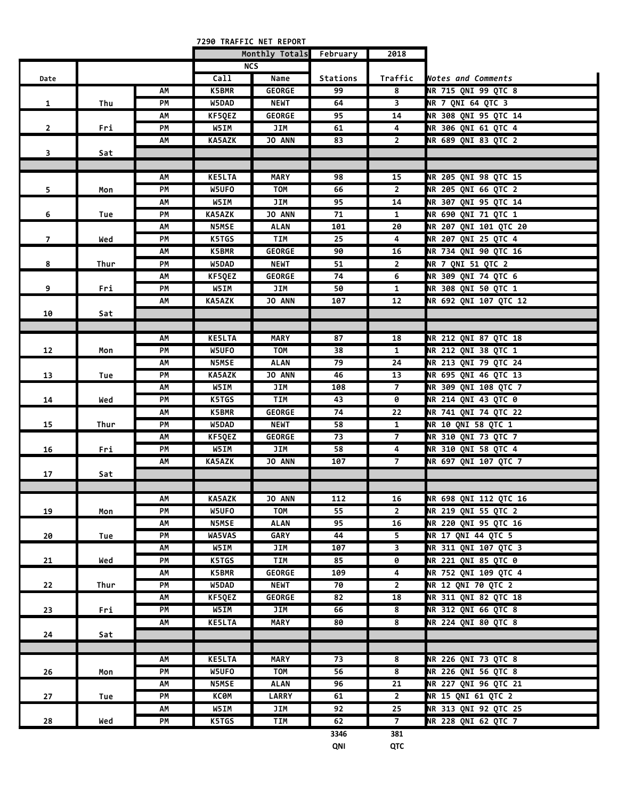|                |      |          |               | 7290 TRAFFIC NET REPORT      |                 |                         |                                            |
|----------------|------|----------|---------------|------------------------------|-----------------|-------------------------|--------------------------------------------|
|                |      |          |               | Monthly Totals               | February        | 2018                    |                                            |
|                |      |          |               | <b>NCS</b>                   |                 |                         |                                            |
| Date           |      |          | Call          | Name                         | <b>Stations</b> | Traffic                 | Notes and Comments                         |
|                |      | AΜ       | <b>K5BMR</b>  | <b>GEORGE</b>                | 99              | 8                       | NR 715 QNI 99 QTC 8                        |
| 1              | Thu  | PМ       | W5DAD         | <b>NEWT</b>                  | 64              | $\overline{\mathbf{3}}$ | NR 7 QNI 64 QTC 3                          |
|                |      | АΜ       | KF5QEZ        | <b>GEORGE</b>                | 95              | 14                      | NR 308 QNI 95 QTC 14                       |
| $\overline{2}$ | Fri  | PМ       | W5IM          | JIM                          | 61              | 4                       | NR 306 QNI 61 QTC 4                        |
|                |      | AM       | <b>KA5AZK</b> | <b>JO ANN</b>                | 83              | $\overline{2}$          | NR 689 QNI 83 QTC 2                        |
| 3              | Sat  |          |               |                              |                 |                         |                                            |
|                |      |          |               |                              |                 |                         |                                            |
|                |      | АΜ       | <b>KE5LTA</b> | <b>MARY</b>                  | 98              | 15                      | NR 205 QNI 98 QTC 15                       |
| 5              | Mon  | PM       | W5UFO         | TOM                          | 66              | $\overline{2}$          | NR 205 QNI 66 QTC 2                        |
|                |      | AΜ       | W5IM          | JIM                          | 95              | 14                      | NR 307 QNI 95 QTC 14                       |
| 6              | Tue  | PМ       | <b>KA5AZK</b> | <b>JO ANN</b>                | 71              | 1                       | NR 690 QNI 71 QTC 1                        |
|                |      | АΜ       | <b>N5MSE</b>  | <b>ALAN</b>                  | 101             | 20                      | NR 207 QNI 101 QTC 20                      |
| $\overline{7}$ | Wed  | PМ       | K5TGS         | TIM                          | 25              | 4                       | NR 207 QNI 25 QTC 4                        |
|                |      | АΜ       | <b>K5BMR</b>  | <b>GEORGE</b>                | 90              | 16                      | NR 734 QNI 90 QTC 16                       |
| 8              | Thur | PМ       | W5DAD         | <b>NEWT</b>                  | 51              | $\overline{2}$          | NR 7 QNI 51 QTC 2                          |
|                |      | АМ       | KF50EZ        | <b>GEORGE</b>                | 74              | 6                       | NR 309 QNI 74 QTC 6                        |
| 9              | Fri  | PМ       | W5IM          | JIM                          | 50              | 1                       | NR 308 QNI 50 QTC 1                        |
|                |      | АΜ       | KA5AZK        | <b>JO ANN</b>                | 107             | 12                      | NR 692 QNI 107 QTC 12                      |
| 10             | Sat  |          |               |                              |                 |                         |                                            |
|                |      |          |               |                              |                 |                         |                                            |
|                |      | АΜ       | <b>KE5LTA</b> | <b>MARY</b>                  | 87              | 18                      | NR 212 QNI 87 QTC 18                       |
| 12             | Mon  | PM       | W5UFO         | <b>TOM</b>                   | 38              | $\mathbf{1}$            | NR 212 QNI 38 QTC 1                        |
|                |      | АΜ       | <b>N5MSE</b>  | <b>ALAN</b>                  | 79              | 24                      | NR 213 QNI 79 QTC 24                       |
| 13             | Tue  | PМ       | <b>KA5AZK</b> | JO ANN                       | 46              | 13                      | NR 695 QNI 46 QTC 13                       |
|                |      | АΜ       | W5IM          | JIM                          | 108             | 7                       | <b>NR 309 QNI 108 QTC 7</b>                |
| 14             | Wed  | PМ       | K5TGS         | TIM                          | 43              | 0                       | <b>NR 214 QNI 43 QTC 0</b>                 |
|                |      | AΜ       | K5BMR         | <b>GEORGE</b>                | 74              | 22                      | NR 741 QNI 74 QTC 22                       |
| 15             | Thur | PМ       | W5DAD         | <b>NEWT</b>                  | 58              | $\mathbf{1}$            | <b>NR 10 QNI 58 QTC 1</b>                  |
|                |      | АΜ       | KF5QEZ        | <b>GEORGE</b>                | 73              | $\overline{7}$          | NR 310 QNI 73 QTC 7                        |
| 16             | Fri  | PМ       | W5IM          | JIM                          | 58              | 4                       | <b>NR 310 QNI 58 QTC 4</b>                 |
|                |      | АΜ       | <b>KA5AZK</b> | <b>JO ANN</b>                | 107             | $\overline{7}$          | NR 697 QNI 107 QTC 7                       |
| 17             | Sat  |          |               |                              |                 |                         |                                            |
|                |      |          |               |                              |                 |                         |                                            |
|                |      | AΜ<br>PM | <b>KA5AZK</b> | <b>JO ANN</b><br><b>TOM</b>  | 112<br>55       | 16<br>$\overline{2}$    | NR 698 QNI 112 QTC 16                      |
| 19             | Mon  |          | W5UFO         |                              |                 | 16                      | NR 219 QNI 55 QTC 2                        |
|                |      | ΑМ       | <b>N5MSE</b>  | <b>ALAN</b>                  | 95<br>44        | 5                       | NR 220 QNI 95 QTC 16<br>NR 17 QNI 44 QTC 5 |
| 20             | Tue  | PM       | WA5VAS        | <b>GARY</b>                  |                 | 3                       | NR 311 QNI 107 QTC 3                       |
|                |      | АΜ<br>PM | W5IM<br>K5TGS | JIM<br>TIM                   | 107<br>85       | $\pmb{\Theta}$          | <b>NR 221 QNI 85 QTC 0</b>                 |
| 21             | Wed  |          |               |                              | 109             |                         | NR 752 QNI 109 QTC 4                       |
|                |      | AM       | K5BMR         | <b>GEORGE</b><br><b>NEWT</b> |                 | 4<br>$\overline{2}$     | <b>NR 12 QNI 70 QTC 2</b>                  |
| 22             | Thur | PM       | W5DAD         |                              | 70              |                         | NR 311 QNI 82 QTC 18                       |
|                |      | ΑМ       | KF5QEZ        | <b>GEORGE</b>                | 82              | 18                      |                                            |
| 23             | Fri  | РM       | W5IM          | JIM                          | 66              | 8                       | NR 312 QNI 66 QTC 8                        |
|                |      | АΜ       | <b>KE5LTA</b> | MARY                         | 80              | 8                       | <b>NR 224 QNI 80 QTC 8</b>                 |
| 24             | Sat  |          |               |                              |                 |                         |                                            |
|                |      |          |               |                              |                 |                         |                                            |
|                |      | АΜ       | <b>KE5LTA</b> | <b>MARY</b>                  | 73              | 8                       | NR 226 QNI 73 QTC 8                        |
| 26             | Mon  | PM       | W5UFO         | <b>TOM</b>                   | 56              | 8                       | NR 226 QNI 56 QTC 8                        |
|                |      | ΑМ       | <b>N5MSE</b>  | <b>ALAN</b>                  | 96              | 21                      | NR 227 QNI 96 QTC 21                       |
| 27             | Tue  | PM       | <b>KC0M</b>   | <b>LARRY</b>                 | 61              | $2^{\circ}$             | NR 15 QNI 61 QTC 2                         |
|                |      | АΜ       | W5IM          | JIM                          | 92              | 25                      | NR 313 QNI 92 QTC 25                       |
| 28             | Wed  | PM       | K5TGS         | TIM                          | 62              | 7 <sup>7</sup>          | NR 228 QNI 62 QTC 7                        |
|                |      |          |               |                              | 3346            | 381                     |                                            |

**QNI QTC**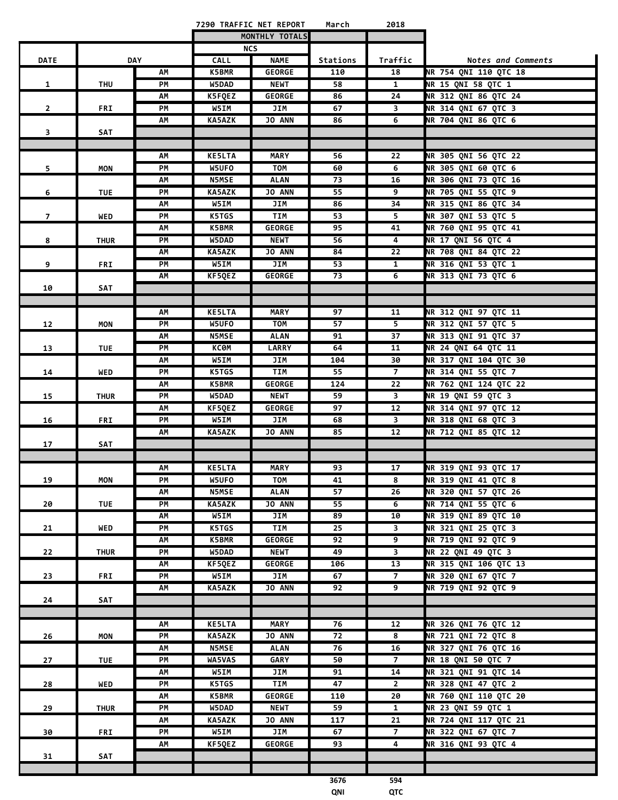|                |             |            |                        | 7290 TRAFFIC NET REPORT    | March    | 2018                    |                                             |
|----------------|-------------|------------|------------------------|----------------------------|----------|-------------------------|---------------------------------------------|
|                |             |            |                        | MONTHLY TOTALS             |          |                         |                                             |
|                |             |            |                        | <b>NCS</b>                 |          |                         |                                             |
| <b>DATE</b>    |             | <b>DAY</b> | <b>CALL</b>            | <b>NAME</b>                | Stations | Traffic                 | Notes and Comments                          |
|                |             | AΜ         | <b>K5BMR</b>           | <b>GEORGE</b>              | 110      | 18                      | <b>NR 754 QNI 110 QTC 18</b>                |
| $\mathbf{1}$   | THU         | PM         | W5DAD                  | <b>NEWT</b>                | 58       | $\mathbf{1}$            | NR 15 QNI 58 QTC 1                          |
|                |             | ΑМ         | K5FQEZ                 | <b>GEORGE</b>              | 86       | 24                      | NR 312 QNI 86 QTC 24                        |
| $\mathbf{2}$   | <b>FRI</b>  | PM         | W5IM                   | JIM                        | 67       | 3                       | NR 314 QNI 67 QTC 3                         |
|                |             | АΜ         | KA5AZK                 | JO ANN                     | 86       | 6                       | NR 704 QNI 86 QTC 6                         |
| 3              | SAT         |            |                        |                            |          |                         |                                             |
|                |             | АΜ         | <b>KE5LTA</b>          | <b>MARY</b>                | 56       | 22                      | NR 305 QNI 56 QTC 22                        |
| 5              | <b>MON</b>  | PM         | W5UFO                  | TOM                        | 60       | 6                       | NR 305 QNI 60 QTC 6                         |
|                |             | AM         | <b>N5MSE</b>           | <b>ALAN</b>                | 73       | 16                      | NR 306 QNI 73 QTC 16                        |
| 6              | TUE         | PM         | KA5AZK                 | JO ANN                     | 55       | 9                       | NR 705 QNI 55 QTC 9                         |
|                |             | AM         | W5IM                   | JIM                        | 86       | 34                      | NR 315 QNI 86 QTC 34                        |
| $\overline{7}$ | WED         | PM         | K5TGS                  | <b>TIM</b>                 | 53       | 5                       | NR 307 QNI 53 QTC 5                         |
|                |             | AM         | <b>K5BMR</b>           | <b>GEORGE</b>              | 95       | 41                      | NR 760 QNI 95 QTC 41                        |
| 8              | <b>THUR</b> | PM         | W5DAD                  | <b>NEWT</b>                | 56       | $\overline{4}$          | <b>NR 17 QNI 56 QTC 4</b>                   |
|                |             | АΜ         | <b>KA5AZK</b>          | <b>JO ANN</b>              | 84       | 22                      | NR 708 QNI 84 QTC 22                        |
| 9              | FRI         | PМ         | W5IM                   | JIM                        | 53       | $\mathbf{1}$            | NR 316 QNI 53 QTC 1                         |
|                |             | АΜ         | KF5QEZ                 | <b>GEORGE</b>              | 73       | 6                       | NR 313 QNI 73 QTC 6                         |
| 10             | SAT         |            |                        |                            |          |                         |                                             |
|                |             |            |                        |                            |          |                         |                                             |
|                |             | АΜ         | <b>KE5LTA</b>          | <b>MARY</b>                | 97       | 11                      | NR 312 QNI 97 QTC 11                        |
| 12             | <b>MON</b>  | PM         | W5UFO                  | <b>TOM</b>                 | 57       | $\overline{\mathbf{5}}$ | NR 312 QNI 57 QTC 5                         |
|                |             | AM         | <b>N5MSE</b>           | <b>ALAN</b>                | 91       | 37                      | NR 313 QNI 91 QTC 37                        |
| 13             | <b>TUE</b>  | PМ         | КСӨМ                   | <b>LARRY</b>               | 64       | 11                      | NR 24 QNI 64 QTC 11                         |
|                |             | ΑМ         | W5IM                   | JIM                        | 104      | 30                      | NR 317 QNI 104 QTC 30                       |
| 14             | WED         | PM         | K5TGS                  | <b>TIM</b>                 | 55       | $\overline{7}$          | NR 314 QNI 55 QTC 7                         |
|                |             | АΜ         | <b>K5BMR</b>           | <b>GEORGE</b>              | 124      | 22                      | NR 762 QNI 124 QTC 22                       |
| 15             | <b>THUR</b> | PM         | W5DAD                  | <b>NEWT</b>                | 59       | $\overline{\mathbf{3}}$ | NR 19 QNI 59 QTC 3                          |
|                |             | АΜ<br>PM   | KF5QEZ<br>W5IM         | <b>GEORGE</b><br>JIM       | 97       | 12<br>3                 | NR 314 QNI 97 QTC 12<br>NR 318 QNI 68 QTC 3 |
| 16             | <b>FRI</b>  | AM         | KA5AZK                 | JO ANN                     | 68<br>85 | 12                      | NR 712 QNI 85 QTC 12                        |
| 17             | SAT         |            |                        |                            |          |                         |                                             |
|                |             |            |                        |                            |          |                         |                                             |
|                |             | AM         | <b>KE5LTA</b>          | <b>MARY</b>                | 93       | 17                      | NR 319 QNI 93 QTC 17                        |
| 19             | <b>MON</b>  | PM         | W5UFO                  | <b>TOM</b>                 | 41       | 8                       | NR 319 QNI 41 QTC 8                         |
|                |             | AM         | <b>N5MSE</b>           | <b>ALAN</b>                | 57       | 26                      | NR 320 QNI 57 QTC 26                        |
| 20             | <b>TUE</b>  | PM         | <b>KA5AZK</b>          | <b>JO ANN</b>              | 55       | 6                       | NR 714 QNI 55 QTC 6                         |
|                |             | AM         | W5IM                   | JIM                        | 89       | 10                      | NR 319 QNI 89 QTC 10                        |
| 21             | WED         | PM         | K5TGS                  | <b>TIM</b>                 | 25       | $\overline{\mathbf{3}}$ | NR 321 QNI 25 QTC 3                         |
|                |             | АΜ         | <b>K5BMR</b>           | <b>GEORGE</b>              | 92       | 9                       | NR 719 QNI 92 QTC 9                         |
| 22             | <b>THUR</b> | PМ         | W5DAD                  | NEWT                       | 49       | 3                       | NR 22 QNI 49 QTC 3                          |
|                |             | АΜ         | KF5QEZ                 | <b>GEORGE</b>              | 106      | 13                      | NR 315 QNI 106 QTC 13                       |
| 23             | <b>FRI</b>  | PM         | W5IM                   | JIM                        | 67       | $\overline{7}$          | NR 320 QNI 67 QTC 7                         |
|                |             | AM         | KA5AZK                 | <b>JO ANN</b>              | 92       | 9                       | NR 719 QNI 92 QTC 9                         |
| 24             | SAT         |            |                        |                            |          |                         |                                             |
|                |             |            |                        |                            |          |                         |                                             |
|                |             | ΑМ         | <b>KE5LTA</b>          | <b>MARY</b>                | 76       | 12                      | NR 326 QNI 76 QTC 12                        |
| 26             | <b>MON</b>  | PM         | KA5AZK                 | <b>JO ANN</b>              | 72       | 8                       | NR 721 QNI 72 QTC 8                         |
|                |             | АΜ<br>PM   | <b>N5MSE</b><br>WA5VAS | <b>ALAN</b><br><b>GARY</b> | 76<br>50 | 16<br>$\overline{7}$    | NR 327 QNI 76 QTC 16<br>NR 18 QNI 50 QTC 7  |
| 27             | <b>TUE</b>  | AM         | W5IM                   | JIM                        | 91       | 14                      | NR 321 QNI 91 QTC 14                        |
| 28             | WED         | PM         | K5TGS                  | <b>TIM</b>                 | 47       | $\mathbf{2}$            | NR 328 QNI 47 QTC 2                         |
|                |             | AM         | <b>K5BMR</b>           | <b>GEORGE</b>              | 110      | 20                      | NR 760 QNI 110 QTC 20                       |
| 29             | <b>THUR</b> | PM         | W5DAD                  | <b>NEWT</b>                | 59       | $\mathbf{1}$            | NR 23 QNI 59 QTC 1                          |
|                |             | AM         | KA5AZK                 | JO ANN                     | 117      | 21                      | NR 724 QNI 117 QTC 21                       |
| 30             | FRI         | PM         | W5IM                   | JIM                        | 67       | $\overline{7}$          | NR 322 QNI 67 QTC 7                         |
|                |             | AM         | KF5QEZ                 | <b>GEORGE</b>              | 93       | 4                       | NR 316 QNI 93 QTC 4                         |
| 31             | SAT         |            |                        |                            |          |                         |                                             |
|                |             |            |                        |                            |          |                         |                                             |
|                |             |            |                        |                            | 3676     | 594                     |                                             |
|                |             |            |                        |                            | QNI      | QTC                     |                                             |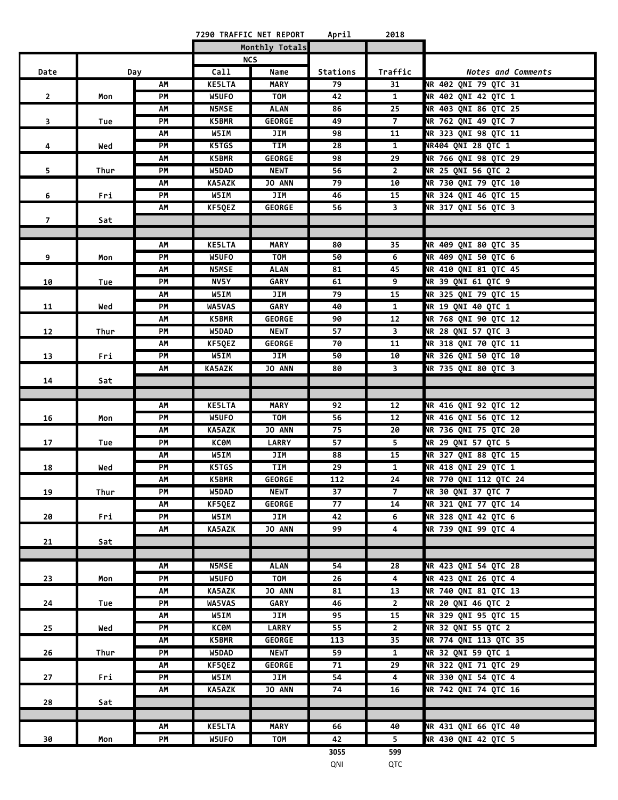| April<br>7290 TRAFFIC NET REPORT | 2018 |  |
|----------------------------------|------|--|
|----------------------------------|------|--|

| <b>NCS</b><br>Call<br>Traffic<br>Date<br>Name<br>Stations<br>Notes and Comments<br>Day<br>NR 402 QNI 79 QTC 31<br>AΜ<br><b>KE5LTA</b><br><b>MARY</b><br>79<br>31<br>$\overline{1}$<br>NR 402 QNI 42 QTC 1<br>PM<br>W5UFO<br>42<br>$\overline{2}$<br>TOM<br>Mon<br>$\overline{25}$<br>NR 403 QNI 86 QTC 25<br>AM<br><b>N5MSE</b><br><b>ALAN</b><br>86<br>$\overline{7}$<br>3<br>PM<br>K5BMR<br><b>GEORGE</b><br>49<br>NR 762 QNI 49 QTC 7<br>Tue<br>$\overline{11}$<br>AM<br>W5IM<br>JIM<br>98<br>NR 323 QNI 98 QTC 11<br>K5TGS<br><b>TIM</b><br>28<br>$\mathbf{1}$<br>NR404 QNI 28 QTC 1<br>PМ<br>4<br>Wed<br>NR 766 QNI 98 QTC 29<br>K5BMR<br><b>GEORGE</b><br>98<br>29<br>АΜ<br>W5DAD<br><b>NEWT</b><br>56<br>$\overline{2}$<br>NR 25 QNI 56 QTC 2<br>5<br>PМ<br>Thur<br><b>KA5AZK</b><br>JO ANN<br>79<br>10<br>NR 730 QNI 79 QTC 10<br>АΜ<br>NR 324 QNI 46 QTC 15<br>PM<br>W5IM<br>JIM<br>46<br>15<br>6<br>Fri<br>NR 317 QNI 56 QTC 3<br>56<br>$\overline{\mathbf{3}}$<br>ΑМ<br>KF5QEZ<br><b>GEORGE</b><br>7 <sup>7</sup><br>Sat<br><b>KE5LTA</b><br>MARY<br>80<br>35<br>NR 409 ONI 80 OTC 35<br>АΜ<br>9<br>PM<br>W5UFO<br>TOM<br>50<br>6<br>NR 409 QNI 50 QTC 6<br>Mon<br>NR 410 QNI 81 QTC 45<br><b>N5MSE</b><br><b>ALAN</b><br>81<br>45<br>AM<br>NR 39 QNI 61 QTC 9<br>PM<br>NV5Y<br><b>GARY</b><br>61<br>9<br>10<br>Tue<br>W5IM<br>JIM<br>79<br>15<br>NR 325 QNI 79 QTC 15<br>AM<br>NR 19 QNI 40 QTC 1<br><b>WA5VAS</b><br><b>GARY</b><br>PM<br>40<br>$\mathbf{1}$<br>11<br>Wed<br>NR 768 QNI 90 QTC 12<br>K5BMR<br><b>GEORGE</b><br>90<br>12<br>АΜ<br>W5DAD<br><b>NEWT</b><br>57<br>$\overline{\mathbf{3}}$<br>NR 28 QNI 57 QTC 3<br>PM<br>12<br>Thur<br>NR 318 QNI 70 QTC 11<br><b>GEORGE</b><br>70<br>АΜ<br>KF5QEZ<br>11<br>NR 326 QNI 50 QTC 10<br>W5IM<br>JIM<br>13<br>Fri<br>PМ<br>50<br>10<br>Ч<br>NR 735 QNI 80 QTC 3<br>JO ANN<br><b>KA5AZK</b><br>80<br>АΜ<br>14<br>Sat<br>NR 416 QNI 92 QTC 12<br>АΜ<br><b>KE5LTA</b><br><b>MARY</b><br>92<br>12<br>NR 416 QNI 56 QTC 12<br>16<br>56<br>12<br>Mon<br>PM<br>W5UFO<br>TOM<br>NR 736 QNI 75 QTC 20<br>75<br>20<br>АΜ<br><b>KA5AZK</b><br><b>JO ANN</b><br>57<br>5<br>NR 29 QNI 57 QTC 5<br>PM<br>КСӨМ<br><b>LARRY</b><br>17<br>Tue<br>88<br>15<br>NR 327 QNI 88 QTC 15<br>AM<br>W5IM<br>JIM<br>K5TGS<br><b>TIM</b><br>29<br>$\mathbf{1}$<br>NR 418 QNI 29 QTC 1<br>PM<br>18<br>Wed<br>K5BMR<br>112<br>24<br>NR 770 QNI 112 QTC 24<br>АΜ<br><b>GEORGE</b><br>PM<br>W5DAD<br>37<br>$\overline{7}$<br>NR 30 QNI 37 QTC 7<br>19<br><b>NEWT</b><br>Thur<br>KF5QEZ<br><b>GEORGE</b><br>NR 321 QNI 77 QTC 14<br>AΜ<br>77<br>14<br>NR 328 QNI 42 QTC 6<br>20<br>Fri<br>PM<br>W5IM<br>JIM<br>42<br>6<br>NR 739 QNI 99 QTC 4<br>AM<br><b>KA5AZK</b><br>JO ANN<br>99<br>4<br>21<br>Sat<br><b>N5MSE</b><br>ALAN<br>54<br>NR 423 QNI 54 QTC 28<br>АΜ<br>28<br>W5UFO<br>NR 423 QNI 26 QTC 4<br>PM<br>TOM<br>26<br>4<br>23<br>Mon<br>JO ANN<br>81<br>NR 740 QNI 81 QTC 13<br>ΑМ<br>KA5AZK<br>13<br>NR 20 QNI 46 QTC 2<br>PM<br><b>WA5VAS</b><br>GARY<br>46<br>$2^{\circ}$<br>24<br>Tue<br>NR 329 QNI 95 QTC 15<br>W5IM<br>JIM<br>95<br>15<br>АΜ<br>NR 32 QNI 55 QTC 2<br>55<br>$2^{\circ}$<br>PM<br>КСӨМ<br><b>LARRY</b><br>25<br>Wed<br>$\overline{35}$<br>NR 774 QNI 113 QTC 35<br>K5BMR<br><b>GEORGE</b><br>113<br>АΜ<br>NR 32 QNI 59 QTC 1<br>PM<br>W5DAD<br><b>NEWT</b><br>59<br>$\mathbf{1}$<br>26<br>Thur<br>NR 322 QNI 71 QTC 29<br>KF5QEZ<br><b>GEORGE</b><br>71<br>29<br>AM<br>NR 330 QNI 54 QTC 4<br>W5IM<br>JIM<br>54<br>4<br>27<br>Fri<br>PM<br>NR 742 QNI 74 QTC 16<br><b>KA5AZK</b><br>JO ANN<br>74<br>16<br>АΜ<br>28<br>Sat<br><b>KE5LTA</b><br>NR 431 QNI 66 QTC 40<br>АΜ<br><b>MARY</b><br>40<br>66<br>42<br>NR 430 QNI 42 QTC 5<br>PM<br>W5UFO<br>TOM<br>5.<br>30<br>Mon<br>3055<br>599 |  |  | Monthly Totals |  |  |
|------------------------------------------------------------------------------------------------------------------------------------------------------------------------------------------------------------------------------------------------------------------------------------------------------------------------------------------------------------------------------------------------------------------------------------------------------------------------------------------------------------------------------------------------------------------------------------------------------------------------------------------------------------------------------------------------------------------------------------------------------------------------------------------------------------------------------------------------------------------------------------------------------------------------------------------------------------------------------------------------------------------------------------------------------------------------------------------------------------------------------------------------------------------------------------------------------------------------------------------------------------------------------------------------------------------------------------------------------------------------------------------------------------------------------------------------------------------------------------------------------------------------------------------------------------------------------------------------------------------------------------------------------------------------------------------------------------------------------------------------------------------------------------------------------------------------------------------------------------------------------------------------------------------------------------------------------------------------------------------------------------------------------------------------------------------------------------------------------------------------------------------------------------------------------------------------------------------------------------------------------------------------------------------------------------------------------------------------------------------------------------------------------------------------------------------------------------------------------------------------------------------------------------------------------------------------------------------------------------------------------------------------------------------------------------------------------------------------------------------------------------------------------------------------------------------------------------------------------------------------------------------------------------------------------------------------------------------------------------------------------------------------------------------------------------------------------------------------------------------------------------------------------------------------------------------------------------------------------------------------------------------------------------------------------------------------------------------------------------------------------------------------------------------------------------------------------------------------------------------------------------------------------------------------------------------------------------------------------------------------------------------------------------------------------------------------------------------------------------------------------------|--|--|----------------|--|--|
|                                                                                                                                                                                                                                                                                                                                                                                                                                                                                                                                                                                                                                                                                                                                                                                                                                                                                                                                                                                                                                                                                                                                                                                                                                                                                                                                                                                                                                                                                                                                                                                                                                                                                                                                                                                                                                                                                                                                                                                                                                                                                                                                                                                                                                                                                                                                                                                                                                                                                                                                                                                                                                                                                                                                                                                                                                                                                                                                                                                                                                                                                                                                                                                                                                                                                                                                                                                                                                                                                                                                                                                                                                                                                                                                                            |  |  |                |  |  |
|                                                                                                                                                                                                                                                                                                                                                                                                                                                                                                                                                                                                                                                                                                                                                                                                                                                                                                                                                                                                                                                                                                                                                                                                                                                                                                                                                                                                                                                                                                                                                                                                                                                                                                                                                                                                                                                                                                                                                                                                                                                                                                                                                                                                                                                                                                                                                                                                                                                                                                                                                                                                                                                                                                                                                                                                                                                                                                                                                                                                                                                                                                                                                                                                                                                                                                                                                                                                                                                                                                                                                                                                                                                                                                                                                            |  |  |                |  |  |
|                                                                                                                                                                                                                                                                                                                                                                                                                                                                                                                                                                                                                                                                                                                                                                                                                                                                                                                                                                                                                                                                                                                                                                                                                                                                                                                                                                                                                                                                                                                                                                                                                                                                                                                                                                                                                                                                                                                                                                                                                                                                                                                                                                                                                                                                                                                                                                                                                                                                                                                                                                                                                                                                                                                                                                                                                                                                                                                                                                                                                                                                                                                                                                                                                                                                                                                                                                                                                                                                                                                                                                                                                                                                                                                                                            |  |  |                |  |  |
|                                                                                                                                                                                                                                                                                                                                                                                                                                                                                                                                                                                                                                                                                                                                                                                                                                                                                                                                                                                                                                                                                                                                                                                                                                                                                                                                                                                                                                                                                                                                                                                                                                                                                                                                                                                                                                                                                                                                                                                                                                                                                                                                                                                                                                                                                                                                                                                                                                                                                                                                                                                                                                                                                                                                                                                                                                                                                                                                                                                                                                                                                                                                                                                                                                                                                                                                                                                                                                                                                                                                                                                                                                                                                                                                                            |  |  |                |  |  |
|                                                                                                                                                                                                                                                                                                                                                                                                                                                                                                                                                                                                                                                                                                                                                                                                                                                                                                                                                                                                                                                                                                                                                                                                                                                                                                                                                                                                                                                                                                                                                                                                                                                                                                                                                                                                                                                                                                                                                                                                                                                                                                                                                                                                                                                                                                                                                                                                                                                                                                                                                                                                                                                                                                                                                                                                                                                                                                                                                                                                                                                                                                                                                                                                                                                                                                                                                                                                                                                                                                                                                                                                                                                                                                                                                            |  |  |                |  |  |
|                                                                                                                                                                                                                                                                                                                                                                                                                                                                                                                                                                                                                                                                                                                                                                                                                                                                                                                                                                                                                                                                                                                                                                                                                                                                                                                                                                                                                                                                                                                                                                                                                                                                                                                                                                                                                                                                                                                                                                                                                                                                                                                                                                                                                                                                                                                                                                                                                                                                                                                                                                                                                                                                                                                                                                                                                                                                                                                                                                                                                                                                                                                                                                                                                                                                                                                                                                                                                                                                                                                                                                                                                                                                                                                                                            |  |  |                |  |  |
|                                                                                                                                                                                                                                                                                                                                                                                                                                                                                                                                                                                                                                                                                                                                                                                                                                                                                                                                                                                                                                                                                                                                                                                                                                                                                                                                                                                                                                                                                                                                                                                                                                                                                                                                                                                                                                                                                                                                                                                                                                                                                                                                                                                                                                                                                                                                                                                                                                                                                                                                                                                                                                                                                                                                                                                                                                                                                                                                                                                                                                                                                                                                                                                                                                                                                                                                                                                                                                                                                                                                                                                                                                                                                                                                                            |  |  |                |  |  |
|                                                                                                                                                                                                                                                                                                                                                                                                                                                                                                                                                                                                                                                                                                                                                                                                                                                                                                                                                                                                                                                                                                                                                                                                                                                                                                                                                                                                                                                                                                                                                                                                                                                                                                                                                                                                                                                                                                                                                                                                                                                                                                                                                                                                                                                                                                                                                                                                                                                                                                                                                                                                                                                                                                                                                                                                                                                                                                                                                                                                                                                                                                                                                                                                                                                                                                                                                                                                                                                                                                                                                                                                                                                                                                                                                            |  |  |                |  |  |
|                                                                                                                                                                                                                                                                                                                                                                                                                                                                                                                                                                                                                                                                                                                                                                                                                                                                                                                                                                                                                                                                                                                                                                                                                                                                                                                                                                                                                                                                                                                                                                                                                                                                                                                                                                                                                                                                                                                                                                                                                                                                                                                                                                                                                                                                                                                                                                                                                                                                                                                                                                                                                                                                                                                                                                                                                                                                                                                                                                                                                                                                                                                                                                                                                                                                                                                                                                                                                                                                                                                                                                                                                                                                                                                                                            |  |  |                |  |  |
|                                                                                                                                                                                                                                                                                                                                                                                                                                                                                                                                                                                                                                                                                                                                                                                                                                                                                                                                                                                                                                                                                                                                                                                                                                                                                                                                                                                                                                                                                                                                                                                                                                                                                                                                                                                                                                                                                                                                                                                                                                                                                                                                                                                                                                                                                                                                                                                                                                                                                                                                                                                                                                                                                                                                                                                                                                                                                                                                                                                                                                                                                                                                                                                                                                                                                                                                                                                                                                                                                                                                                                                                                                                                                                                                                            |  |  |                |  |  |
|                                                                                                                                                                                                                                                                                                                                                                                                                                                                                                                                                                                                                                                                                                                                                                                                                                                                                                                                                                                                                                                                                                                                                                                                                                                                                                                                                                                                                                                                                                                                                                                                                                                                                                                                                                                                                                                                                                                                                                                                                                                                                                                                                                                                                                                                                                                                                                                                                                                                                                                                                                                                                                                                                                                                                                                                                                                                                                                                                                                                                                                                                                                                                                                                                                                                                                                                                                                                                                                                                                                                                                                                                                                                                                                                                            |  |  |                |  |  |
|                                                                                                                                                                                                                                                                                                                                                                                                                                                                                                                                                                                                                                                                                                                                                                                                                                                                                                                                                                                                                                                                                                                                                                                                                                                                                                                                                                                                                                                                                                                                                                                                                                                                                                                                                                                                                                                                                                                                                                                                                                                                                                                                                                                                                                                                                                                                                                                                                                                                                                                                                                                                                                                                                                                                                                                                                                                                                                                                                                                                                                                                                                                                                                                                                                                                                                                                                                                                                                                                                                                                                                                                                                                                                                                                                            |  |  |                |  |  |
|                                                                                                                                                                                                                                                                                                                                                                                                                                                                                                                                                                                                                                                                                                                                                                                                                                                                                                                                                                                                                                                                                                                                                                                                                                                                                                                                                                                                                                                                                                                                                                                                                                                                                                                                                                                                                                                                                                                                                                                                                                                                                                                                                                                                                                                                                                                                                                                                                                                                                                                                                                                                                                                                                                                                                                                                                                                                                                                                                                                                                                                                                                                                                                                                                                                                                                                                                                                                                                                                                                                                                                                                                                                                                                                                                            |  |  |                |  |  |
|                                                                                                                                                                                                                                                                                                                                                                                                                                                                                                                                                                                                                                                                                                                                                                                                                                                                                                                                                                                                                                                                                                                                                                                                                                                                                                                                                                                                                                                                                                                                                                                                                                                                                                                                                                                                                                                                                                                                                                                                                                                                                                                                                                                                                                                                                                                                                                                                                                                                                                                                                                                                                                                                                                                                                                                                                                                                                                                                                                                                                                                                                                                                                                                                                                                                                                                                                                                                                                                                                                                                                                                                                                                                                                                                                            |  |  |                |  |  |
|                                                                                                                                                                                                                                                                                                                                                                                                                                                                                                                                                                                                                                                                                                                                                                                                                                                                                                                                                                                                                                                                                                                                                                                                                                                                                                                                                                                                                                                                                                                                                                                                                                                                                                                                                                                                                                                                                                                                                                                                                                                                                                                                                                                                                                                                                                                                                                                                                                                                                                                                                                                                                                                                                                                                                                                                                                                                                                                                                                                                                                                                                                                                                                                                                                                                                                                                                                                                                                                                                                                                                                                                                                                                                                                                                            |  |  |                |  |  |
|                                                                                                                                                                                                                                                                                                                                                                                                                                                                                                                                                                                                                                                                                                                                                                                                                                                                                                                                                                                                                                                                                                                                                                                                                                                                                                                                                                                                                                                                                                                                                                                                                                                                                                                                                                                                                                                                                                                                                                                                                                                                                                                                                                                                                                                                                                                                                                                                                                                                                                                                                                                                                                                                                                                                                                                                                                                                                                                                                                                                                                                                                                                                                                                                                                                                                                                                                                                                                                                                                                                                                                                                                                                                                                                                                            |  |  |                |  |  |
|                                                                                                                                                                                                                                                                                                                                                                                                                                                                                                                                                                                                                                                                                                                                                                                                                                                                                                                                                                                                                                                                                                                                                                                                                                                                                                                                                                                                                                                                                                                                                                                                                                                                                                                                                                                                                                                                                                                                                                                                                                                                                                                                                                                                                                                                                                                                                                                                                                                                                                                                                                                                                                                                                                                                                                                                                                                                                                                                                                                                                                                                                                                                                                                                                                                                                                                                                                                                                                                                                                                                                                                                                                                                                                                                                            |  |  |                |  |  |
|                                                                                                                                                                                                                                                                                                                                                                                                                                                                                                                                                                                                                                                                                                                                                                                                                                                                                                                                                                                                                                                                                                                                                                                                                                                                                                                                                                                                                                                                                                                                                                                                                                                                                                                                                                                                                                                                                                                                                                                                                                                                                                                                                                                                                                                                                                                                                                                                                                                                                                                                                                                                                                                                                                                                                                                                                                                                                                                                                                                                                                                                                                                                                                                                                                                                                                                                                                                                                                                                                                                                                                                                                                                                                                                                                            |  |  |                |  |  |
|                                                                                                                                                                                                                                                                                                                                                                                                                                                                                                                                                                                                                                                                                                                                                                                                                                                                                                                                                                                                                                                                                                                                                                                                                                                                                                                                                                                                                                                                                                                                                                                                                                                                                                                                                                                                                                                                                                                                                                                                                                                                                                                                                                                                                                                                                                                                                                                                                                                                                                                                                                                                                                                                                                                                                                                                                                                                                                                                                                                                                                                                                                                                                                                                                                                                                                                                                                                                                                                                                                                                                                                                                                                                                                                                                            |  |  |                |  |  |
|                                                                                                                                                                                                                                                                                                                                                                                                                                                                                                                                                                                                                                                                                                                                                                                                                                                                                                                                                                                                                                                                                                                                                                                                                                                                                                                                                                                                                                                                                                                                                                                                                                                                                                                                                                                                                                                                                                                                                                                                                                                                                                                                                                                                                                                                                                                                                                                                                                                                                                                                                                                                                                                                                                                                                                                                                                                                                                                                                                                                                                                                                                                                                                                                                                                                                                                                                                                                                                                                                                                                                                                                                                                                                                                                                            |  |  |                |  |  |
|                                                                                                                                                                                                                                                                                                                                                                                                                                                                                                                                                                                                                                                                                                                                                                                                                                                                                                                                                                                                                                                                                                                                                                                                                                                                                                                                                                                                                                                                                                                                                                                                                                                                                                                                                                                                                                                                                                                                                                                                                                                                                                                                                                                                                                                                                                                                                                                                                                                                                                                                                                                                                                                                                                                                                                                                                                                                                                                                                                                                                                                                                                                                                                                                                                                                                                                                                                                                                                                                                                                                                                                                                                                                                                                                                            |  |  |                |  |  |
|                                                                                                                                                                                                                                                                                                                                                                                                                                                                                                                                                                                                                                                                                                                                                                                                                                                                                                                                                                                                                                                                                                                                                                                                                                                                                                                                                                                                                                                                                                                                                                                                                                                                                                                                                                                                                                                                                                                                                                                                                                                                                                                                                                                                                                                                                                                                                                                                                                                                                                                                                                                                                                                                                                                                                                                                                                                                                                                                                                                                                                                                                                                                                                                                                                                                                                                                                                                                                                                                                                                                                                                                                                                                                                                                                            |  |  |                |  |  |
|                                                                                                                                                                                                                                                                                                                                                                                                                                                                                                                                                                                                                                                                                                                                                                                                                                                                                                                                                                                                                                                                                                                                                                                                                                                                                                                                                                                                                                                                                                                                                                                                                                                                                                                                                                                                                                                                                                                                                                                                                                                                                                                                                                                                                                                                                                                                                                                                                                                                                                                                                                                                                                                                                                                                                                                                                                                                                                                                                                                                                                                                                                                                                                                                                                                                                                                                                                                                                                                                                                                                                                                                                                                                                                                                                            |  |  |                |  |  |
|                                                                                                                                                                                                                                                                                                                                                                                                                                                                                                                                                                                                                                                                                                                                                                                                                                                                                                                                                                                                                                                                                                                                                                                                                                                                                                                                                                                                                                                                                                                                                                                                                                                                                                                                                                                                                                                                                                                                                                                                                                                                                                                                                                                                                                                                                                                                                                                                                                                                                                                                                                                                                                                                                                                                                                                                                                                                                                                                                                                                                                                                                                                                                                                                                                                                                                                                                                                                                                                                                                                                                                                                                                                                                                                                                            |  |  |                |  |  |
|                                                                                                                                                                                                                                                                                                                                                                                                                                                                                                                                                                                                                                                                                                                                                                                                                                                                                                                                                                                                                                                                                                                                                                                                                                                                                                                                                                                                                                                                                                                                                                                                                                                                                                                                                                                                                                                                                                                                                                                                                                                                                                                                                                                                                                                                                                                                                                                                                                                                                                                                                                                                                                                                                                                                                                                                                                                                                                                                                                                                                                                                                                                                                                                                                                                                                                                                                                                                                                                                                                                                                                                                                                                                                                                                                            |  |  |                |  |  |
|                                                                                                                                                                                                                                                                                                                                                                                                                                                                                                                                                                                                                                                                                                                                                                                                                                                                                                                                                                                                                                                                                                                                                                                                                                                                                                                                                                                                                                                                                                                                                                                                                                                                                                                                                                                                                                                                                                                                                                                                                                                                                                                                                                                                                                                                                                                                                                                                                                                                                                                                                                                                                                                                                                                                                                                                                                                                                                                                                                                                                                                                                                                                                                                                                                                                                                                                                                                                                                                                                                                                                                                                                                                                                                                                                            |  |  |                |  |  |
|                                                                                                                                                                                                                                                                                                                                                                                                                                                                                                                                                                                                                                                                                                                                                                                                                                                                                                                                                                                                                                                                                                                                                                                                                                                                                                                                                                                                                                                                                                                                                                                                                                                                                                                                                                                                                                                                                                                                                                                                                                                                                                                                                                                                                                                                                                                                                                                                                                                                                                                                                                                                                                                                                                                                                                                                                                                                                                                                                                                                                                                                                                                                                                                                                                                                                                                                                                                                                                                                                                                                                                                                                                                                                                                                                            |  |  |                |  |  |
|                                                                                                                                                                                                                                                                                                                                                                                                                                                                                                                                                                                                                                                                                                                                                                                                                                                                                                                                                                                                                                                                                                                                                                                                                                                                                                                                                                                                                                                                                                                                                                                                                                                                                                                                                                                                                                                                                                                                                                                                                                                                                                                                                                                                                                                                                                                                                                                                                                                                                                                                                                                                                                                                                                                                                                                                                                                                                                                                                                                                                                                                                                                                                                                                                                                                                                                                                                                                                                                                                                                                                                                                                                                                                                                                                            |  |  |                |  |  |
|                                                                                                                                                                                                                                                                                                                                                                                                                                                                                                                                                                                                                                                                                                                                                                                                                                                                                                                                                                                                                                                                                                                                                                                                                                                                                                                                                                                                                                                                                                                                                                                                                                                                                                                                                                                                                                                                                                                                                                                                                                                                                                                                                                                                                                                                                                                                                                                                                                                                                                                                                                                                                                                                                                                                                                                                                                                                                                                                                                                                                                                                                                                                                                                                                                                                                                                                                                                                                                                                                                                                                                                                                                                                                                                                                            |  |  |                |  |  |
|                                                                                                                                                                                                                                                                                                                                                                                                                                                                                                                                                                                                                                                                                                                                                                                                                                                                                                                                                                                                                                                                                                                                                                                                                                                                                                                                                                                                                                                                                                                                                                                                                                                                                                                                                                                                                                                                                                                                                                                                                                                                                                                                                                                                                                                                                                                                                                                                                                                                                                                                                                                                                                                                                                                                                                                                                                                                                                                                                                                                                                                                                                                                                                                                                                                                                                                                                                                                                                                                                                                                                                                                                                                                                                                                                            |  |  |                |  |  |
|                                                                                                                                                                                                                                                                                                                                                                                                                                                                                                                                                                                                                                                                                                                                                                                                                                                                                                                                                                                                                                                                                                                                                                                                                                                                                                                                                                                                                                                                                                                                                                                                                                                                                                                                                                                                                                                                                                                                                                                                                                                                                                                                                                                                                                                                                                                                                                                                                                                                                                                                                                                                                                                                                                                                                                                                                                                                                                                                                                                                                                                                                                                                                                                                                                                                                                                                                                                                                                                                                                                                                                                                                                                                                                                                                            |  |  |                |  |  |
|                                                                                                                                                                                                                                                                                                                                                                                                                                                                                                                                                                                                                                                                                                                                                                                                                                                                                                                                                                                                                                                                                                                                                                                                                                                                                                                                                                                                                                                                                                                                                                                                                                                                                                                                                                                                                                                                                                                                                                                                                                                                                                                                                                                                                                                                                                                                                                                                                                                                                                                                                                                                                                                                                                                                                                                                                                                                                                                                                                                                                                                                                                                                                                                                                                                                                                                                                                                                                                                                                                                                                                                                                                                                                                                                                            |  |  |                |  |  |
|                                                                                                                                                                                                                                                                                                                                                                                                                                                                                                                                                                                                                                                                                                                                                                                                                                                                                                                                                                                                                                                                                                                                                                                                                                                                                                                                                                                                                                                                                                                                                                                                                                                                                                                                                                                                                                                                                                                                                                                                                                                                                                                                                                                                                                                                                                                                                                                                                                                                                                                                                                                                                                                                                                                                                                                                                                                                                                                                                                                                                                                                                                                                                                                                                                                                                                                                                                                                                                                                                                                                                                                                                                                                                                                                                            |  |  |                |  |  |
|                                                                                                                                                                                                                                                                                                                                                                                                                                                                                                                                                                                                                                                                                                                                                                                                                                                                                                                                                                                                                                                                                                                                                                                                                                                                                                                                                                                                                                                                                                                                                                                                                                                                                                                                                                                                                                                                                                                                                                                                                                                                                                                                                                                                                                                                                                                                                                                                                                                                                                                                                                                                                                                                                                                                                                                                                                                                                                                                                                                                                                                                                                                                                                                                                                                                                                                                                                                                                                                                                                                                                                                                                                                                                                                                                            |  |  |                |  |  |
|                                                                                                                                                                                                                                                                                                                                                                                                                                                                                                                                                                                                                                                                                                                                                                                                                                                                                                                                                                                                                                                                                                                                                                                                                                                                                                                                                                                                                                                                                                                                                                                                                                                                                                                                                                                                                                                                                                                                                                                                                                                                                                                                                                                                                                                                                                                                                                                                                                                                                                                                                                                                                                                                                                                                                                                                                                                                                                                                                                                                                                                                                                                                                                                                                                                                                                                                                                                                                                                                                                                                                                                                                                                                                                                                                            |  |  |                |  |  |
|                                                                                                                                                                                                                                                                                                                                                                                                                                                                                                                                                                                                                                                                                                                                                                                                                                                                                                                                                                                                                                                                                                                                                                                                                                                                                                                                                                                                                                                                                                                                                                                                                                                                                                                                                                                                                                                                                                                                                                                                                                                                                                                                                                                                                                                                                                                                                                                                                                                                                                                                                                                                                                                                                                                                                                                                                                                                                                                                                                                                                                                                                                                                                                                                                                                                                                                                                                                                                                                                                                                                                                                                                                                                                                                                                            |  |  |                |  |  |
|                                                                                                                                                                                                                                                                                                                                                                                                                                                                                                                                                                                                                                                                                                                                                                                                                                                                                                                                                                                                                                                                                                                                                                                                                                                                                                                                                                                                                                                                                                                                                                                                                                                                                                                                                                                                                                                                                                                                                                                                                                                                                                                                                                                                                                                                                                                                                                                                                                                                                                                                                                                                                                                                                                                                                                                                                                                                                                                                                                                                                                                                                                                                                                                                                                                                                                                                                                                                                                                                                                                                                                                                                                                                                                                                                            |  |  |                |  |  |
|                                                                                                                                                                                                                                                                                                                                                                                                                                                                                                                                                                                                                                                                                                                                                                                                                                                                                                                                                                                                                                                                                                                                                                                                                                                                                                                                                                                                                                                                                                                                                                                                                                                                                                                                                                                                                                                                                                                                                                                                                                                                                                                                                                                                                                                                                                                                                                                                                                                                                                                                                                                                                                                                                                                                                                                                                                                                                                                                                                                                                                                                                                                                                                                                                                                                                                                                                                                                                                                                                                                                                                                                                                                                                                                                                            |  |  |                |  |  |
|                                                                                                                                                                                                                                                                                                                                                                                                                                                                                                                                                                                                                                                                                                                                                                                                                                                                                                                                                                                                                                                                                                                                                                                                                                                                                                                                                                                                                                                                                                                                                                                                                                                                                                                                                                                                                                                                                                                                                                                                                                                                                                                                                                                                                                                                                                                                                                                                                                                                                                                                                                                                                                                                                                                                                                                                                                                                                                                                                                                                                                                                                                                                                                                                                                                                                                                                                                                                                                                                                                                                                                                                                                                                                                                                                            |  |  |                |  |  |
|                                                                                                                                                                                                                                                                                                                                                                                                                                                                                                                                                                                                                                                                                                                                                                                                                                                                                                                                                                                                                                                                                                                                                                                                                                                                                                                                                                                                                                                                                                                                                                                                                                                                                                                                                                                                                                                                                                                                                                                                                                                                                                                                                                                                                                                                                                                                                                                                                                                                                                                                                                                                                                                                                                                                                                                                                                                                                                                                                                                                                                                                                                                                                                                                                                                                                                                                                                                                                                                                                                                                                                                                                                                                                                                                                            |  |  |                |  |  |
|                                                                                                                                                                                                                                                                                                                                                                                                                                                                                                                                                                                                                                                                                                                                                                                                                                                                                                                                                                                                                                                                                                                                                                                                                                                                                                                                                                                                                                                                                                                                                                                                                                                                                                                                                                                                                                                                                                                                                                                                                                                                                                                                                                                                                                                                                                                                                                                                                                                                                                                                                                                                                                                                                                                                                                                                                                                                                                                                                                                                                                                                                                                                                                                                                                                                                                                                                                                                                                                                                                                                                                                                                                                                                                                                                            |  |  |                |  |  |
|                                                                                                                                                                                                                                                                                                                                                                                                                                                                                                                                                                                                                                                                                                                                                                                                                                                                                                                                                                                                                                                                                                                                                                                                                                                                                                                                                                                                                                                                                                                                                                                                                                                                                                                                                                                                                                                                                                                                                                                                                                                                                                                                                                                                                                                                                                                                                                                                                                                                                                                                                                                                                                                                                                                                                                                                                                                                                                                                                                                                                                                                                                                                                                                                                                                                                                                                                                                                                                                                                                                                                                                                                                                                                                                                                            |  |  |                |  |  |
|                                                                                                                                                                                                                                                                                                                                                                                                                                                                                                                                                                                                                                                                                                                                                                                                                                                                                                                                                                                                                                                                                                                                                                                                                                                                                                                                                                                                                                                                                                                                                                                                                                                                                                                                                                                                                                                                                                                                                                                                                                                                                                                                                                                                                                                                                                                                                                                                                                                                                                                                                                                                                                                                                                                                                                                                                                                                                                                                                                                                                                                                                                                                                                                                                                                                                                                                                                                                                                                                                                                                                                                                                                                                                                                                                            |  |  |                |  |  |
|                                                                                                                                                                                                                                                                                                                                                                                                                                                                                                                                                                                                                                                                                                                                                                                                                                                                                                                                                                                                                                                                                                                                                                                                                                                                                                                                                                                                                                                                                                                                                                                                                                                                                                                                                                                                                                                                                                                                                                                                                                                                                                                                                                                                                                                                                                                                                                                                                                                                                                                                                                                                                                                                                                                                                                                                                                                                                                                                                                                                                                                                                                                                                                                                                                                                                                                                                                                                                                                                                                                                                                                                                                                                                                                                                            |  |  |                |  |  |
|                                                                                                                                                                                                                                                                                                                                                                                                                                                                                                                                                                                                                                                                                                                                                                                                                                                                                                                                                                                                                                                                                                                                                                                                                                                                                                                                                                                                                                                                                                                                                                                                                                                                                                                                                                                                                                                                                                                                                                                                                                                                                                                                                                                                                                                                                                                                                                                                                                                                                                                                                                                                                                                                                                                                                                                                                                                                                                                                                                                                                                                                                                                                                                                                                                                                                                                                                                                                                                                                                                                                                                                                                                                                                                                                                            |  |  |                |  |  |
|                                                                                                                                                                                                                                                                                                                                                                                                                                                                                                                                                                                                                                                                                                                                                                                                                                                                                                                                                                                                                                                                                                                                                                                                                                                                                                                                                                                                                                                                                                                                                                                                                                                                                                                                                                                                                                                                                                                                                                                                                                                                                                                                                                                                                                                                                                                                                                                                                                                                                                                                                                                                                                                                                                                                                                                                                                                                                                                                                                                                                                                                                                                                                                                                                                                                                                                                                                                                                                                                                                                                                                                                                                                                                                                                                            |  |  |                |  |  |
|                                                                                                                                                                                                                                                                                                                                                                                                                                                                                                                                                                                                                                                                                                                                                                                                                                                                                                                                                                                                                                                                                                                                                                                                                                                                                                                                                                                                                                                                                                                                                                                                                                                                                                                                                                                                                                                                                                                                                                                                                                                                                                                                                                                                                                                                                                                                                                                                                                                                                                                                                                                                                                                                                                                                                                                                                                                                                                                                                                                                                                                                                                                                                                                                                                                                                                                                                                                                                                                                                                                                                                                                                                                                                                                                                            |  |  |                |  |  |
|                                                                                                                                                                                                                                                                                                                                                                                                                                                                                                                                                                                                                                                                                                                                                                                                                                                                                                                                                                                                                                                                                                                                                                                                                                                                                                                                                                                                                                                                                                                                                                                                                                                                                                                                                                                                                                                                                                                                                                                                                                                                                                                                                                                                                                                                                                                                                                                                                                                                                                                                                                                                                                                                                                                                                                                                                                                                                                                                                                                                                                                                                                                                                                                                                                                                                                                                                                                                                                                                                                                                                                                                                                                                                                                                                            |  |  |                |  |  |
|                                                                                                                                                                                                                                                                                                                                                                                                                                                                                                                                                                                                                                                                                                                                                                                                                                                                                                                                                                                                                                                                                                                                                                                                                                                                                                                                                                                                                                                                                                                                                                                                                                                                                                                                                                                                                                                                                                                                                                                                                                                                                                                                                                                                                                                                                                                                                                                                                                                                                                                                                                                                                                                                                                                                                                                                                                                                                                                                                                                                                                                                                                                                                                                                                                                                                                                                                                                                                                                                                                                                                                                                                                                                                                                                                            |  |  |                |  |  |
|                                                                                                                                                                                                                                                                                                                                                                                                                                                                                                                                                                                                                                                                                                                                                                                                                                                                                                                                                                                                                                                                                                                                                                                                                                                                                                                                                                                                                                                                                                                                                                                                                                                                                                                                                                                                                                                                                                                                                                                                                                                                                                                                                                                                                                                                                                                                                                                                                                                                                                                                                                                                                                                                                                                                                                                                                                                                                                                                                                                                                                                                                                                                                                                                                                                                                                                                                                                                                                                                                                                                                                                                                                                                                                                                                            |  |  |                |  |  |
|                                                                                                                                                                                                                                                                                                                                                                                                                                                                                                                                                                                                                                                                                                                                                                                                                                                                                                                                                                                                                                                                                                                                                                                                                                                                                                                                                                                                                                                                                                                                                                                                                                                                                                                                                                                                                                                                                                                                                                                                                                                                                                                                                                                                                                                                                                                                                                                                                                                                                                                                                                                                                                                                                                                                                                                                                                                                                                                                                                                                                                                                                                                                                                                                                                                                                                                                                                                                                                                                                                                                                                                                                                                                                                                                                            |  |  |                |  |  |
|                                                                                                                                                                                                                                                                                                                                                                                                                                                                                                                                                                                                                                                                                                                                                                                                                                                                                                                                                                                                                                                                                                                                                                                                                                                                                                                                                                                                                                                                                                                                                                                                                                                                                                                                                                                                                                                                                                                                                                                                                                                                                                                                                                                                                                                                                                                                                                                                                                                                                                                                                                                                                                                                                                                                                                                                                                                                                                                                                                                                                                                                                                                                                                                                                                                                                                                                                                                                                                                                                                                                                                                                                                                                                                                                                            |  |  |                |  |  |
|                                                                                                                                                                                                                                                                                                                                                                                                                                                                                                                                                                                                                                                                                                                                                                                                                                                                                                                                                                                                                                                                                                                                                                                                                                                                                                                                                                                                                                                                                                                                                                                                                                                                                                                                                                                                                                                                                                                                                                                                                                                                                                                                                                                                                                                                                                                                                                                                                                                                                                                                                                                                                                                                                                                                                                                                                                                                                                                                                                                                                                                                                                                                                                                                                                                                                                                                                                                                                                                                                                                                                                                                                                                                                                                                                            |  |  |                |  |  |
|                                                                                                                                                                                                                                                                                                                                                                                                                                                                                                                                                                                                                                                                                                                                                                                                                                                                                                                                                                                                                                                                                                                                                                                                                                                                                                                                                                                                                                                                                                                                                                                                                                                                                                                                                                                                                                                                                                                                                                                                                                                                                                                                                                                                                                                                                                                                                                                                                                                                                                                                                                                                                                                                                                                                                                                                                                                                                                                                                                                                                                                                                                                                                                                                                                                                                                                                                                                                                                                                                                                                                                                                                                                                                                                                                            |  |  |                |  |  |
|                                                                                                                                                                                                                                                                                                                                                                                                                                                                                                                                                                                                                                                                                                                                                                                                                                                                                                                                                                                                                                                                                                                                                                                                                                                                                                                                                                                                                                                                                                                                                                                                                                                                                                                                                                                                                                                                                                                                                                                                                                                                                                                                                                                                                                                                                                                                                                                                                                                                                                                                                                                                                                                                                                                                                                                                                                                                                                                                                                                                                                                                                                                                                                                                                                                                                                                                                                                                                                                                                                                                                                                                                                                                                                                                                            |  |  |                |  |  |
|                                                                                                                                                                                                                                                                                                                                                                                                                                                                                                                                                                                                                                                                                                                                                                                                                                                                                                                                                                                                                                                                                                                                                                                                                                                                                                                                                                                                                                                                                                                                                                                                                                                                                                                                                                                                                                                                                                                                                                                                                                                                                                                                                                                                                                                                                                                                                                                                                                                                                                                                                                                                                                                                                                                                                                                                                                                                                                                                                                                                                                                                                                                                                                                                                                                                                                                                                                                                                                                                                                                                                                                                                                                                                                                                                            |  |  |                |  |  |
|                                                                                                                                                                                                                                                                                                                                                                                                                                                                                                                                                                                                                                                                                                                                                                                                                                                                                                                                                                                                                                                                                                                                                                                                                                                                                                                                                                                                                                                                                                                                                                                                                                                                                                                                                                                                                                                                                                                                                                                                                                                                                                                                                                                                                                                                                                                                                                                                                                                                                                                                                                                                                                                                                                                                                                                                                                                                                                                                                                                                                                                                                                                                                                                                                                                                                                                                                                                                                                                                                                                                                                                                                                                                                                                                                            |  |  |                |  |  |
|                                                                                                                                                                                                                                                                                                                                                                                                                                                                                                                                                                                                                                                                                                                                                                                                                                                                                                                                                                                                                                                                                                                                                                                                                                                                                                                                                                                                                                                                                                                                                                                                                                                                                                                                                                                                                                                                                                                                                                                                                                                                                                                                                                                                                                                                                                                                                                                                                                                                                                                                                                                                                                                                                                                                                                                                                                                                                                                                                                                                                                                                                                                                                                                                                                                                                                                                                                                                                                                                                                                                                                                                                                                                                                                                                            |  |  |                |  |  |
|                                                                                                                                                                                                                                                                                                                                                                                                                                                                                                                                                                                                                                                                                                                                                                                                                                                                                                                                                                                                                                                                                                                                                                                                                                                                                                                                                                                                                                                                                                                                                                                                                                                                                                                                                                                                                                                                                                                                                                                                                                                                                                                                                                                                                                                                                                                                                                                                                                                                                                                                                                                                                                                                                                                                                                                                                                                                                                                                                                                                                                                                                                                                                                                                                                                                                                                                                                                                                                                                                                                                                                                                                                                                                                                                                            |  |  |                |  |  |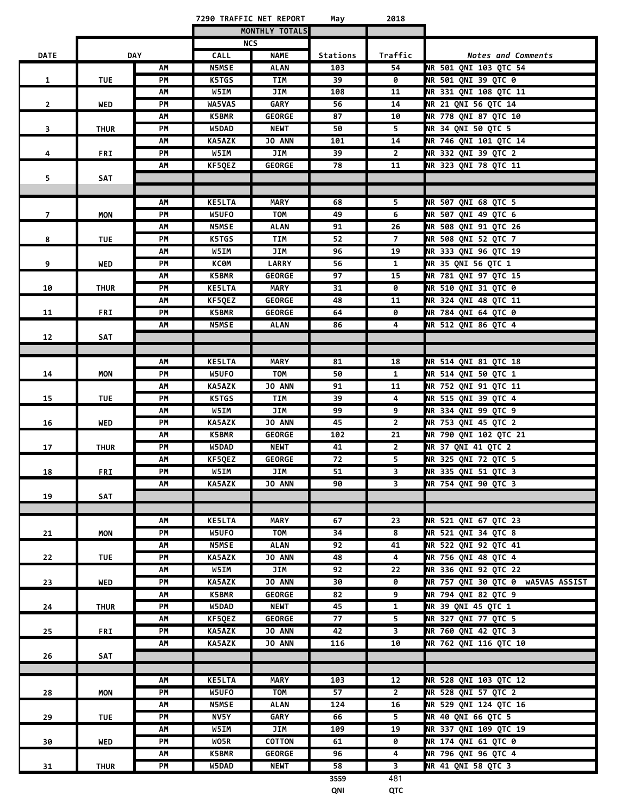|                |             |            |               | 7290 TRAFFIC NET REPORT | May      | 2018                    |                                   |
|----------------|-------------|------------|---------------|-------------------------|----------|-------------------------|-----------------------------------|
|                |             |            |               | MONTHLY TOTALS          |          |                         |                                   |
|                |             |            |               | <b>NCS</b>              |          |                         |                                   |
| <b>DATE</b>    |             | <b>DAY</b> | <b>CALL</b>   | <b>NAME</b>             | Stations | Traffic                 | Notes and Comments                |
|                |             | AΜ         | <b>N5MSE</b>  | <b>ALAN</b>             | 103      | 54                      | NR 501 QNI 103 QTC 54             |
| $\mathbf{1}$   | <b>TUE</b>  | <b>PM</b>  | K5TGS         | <b>TIM</b>              | 39       | 0                       | NR 501 QNI 39 QTC 0               |
|                |             | АΜ         | W5IM          | JIM                     | 108      | 11                      | NR 331 QNI 108 QTC 11             |
| $\overline{2}$ | WED         | PM         | WA5VAS        | <b>GARY</b>             | 56       | 14                      | NR 21 QNI 56 QTC 14               |
|                |             | АΜ         | <b>K5BMR</b>  | <b>GEORGE</b>           | 87       | 10                      | NR 778 QNI 87 QTC 10              |
| 3              | <b>THUR</b> | PМ         | W5DAD         | <b>NEWT</b>             | 50       | 5                       | NR 34 QNI 50 QTC 5                |
|                |             | АΜ         | <b>KA5AZK</b> | JO ANN                  | 101      | 14                      | NR 746 QNI 101 QTC 14             |
| 4              | FRI         | PМ         | W5IM          | JIM                     | 39       | $\overline{2}$          | NR 332 QNI 39 QTC 2               |
|                |             | АΜ         | KF5QEZ        | <b>GEORGE</b>           | 78       | 11                      | NR 323 QNI 78 QTC 11              |
| 5.             | <b>SAT</b>  |            |               |                         |          |                         |                                   |
|                |             |            |               |                         |          |                         |                                   |
|                |             | АΜ         | <b>KE5LTA</b> | MARY                    | 68       | 5                       | NR 507 QNI 68 QTC 5               |
| $\overline{7}$ | MON         | PM         | W5UFO         | <b>TOM</b>              | 49       | 6                       | NR 507 QNI 49 QTC 6               |
|                |             | АΜ         | <b>N5MSE</b>  | <b>ALAN</b>             | 91       | 26                      | NR 508 QNI 91 QTC 26              |
| 8              | <b>TUE</b>  | PM         | K5TGS         | TIM                     | 52       | $\overline{7}$          | NR 508 QNI 52 QTC 7               |
|                |             | AM         | W5IM          | JIM                     | 96       | 19                      | NR 333 QNI 96 QTC 19              |
| 9              | WED         | PM         | КСӨМ          | LARRY                   | 56       | $\mathbf{1}$            | NR 35 QNI 56 QTC 1                |
|                |             | АΜ         | <b>K5BMR</b>  | <b>GEORGE</b>           | 97       | 15                      | NR 781 QNI 97 QTC 15              |
| 10             | <b>THUR</b> | PM         | <b>KE5LTA</b> | <b>MARY</b>             | 31       | 0                       | NR 510 QNI 31 QTC 0               |
|                |             | АΜ         | KF5QEZ        | <b>GEORGE</b>           | 48       | 11                      | NR 324 QNI 48 QTC 11              |
| 11             | FRI         | PM         | <b>K5BMR</b>  | <b>GEORGE</b>           | 64       | 0                       | NR 784 QNI 64 QTC 0               |
|                |             | АΜ         | <b>N5MSE</b>  | <b>ALAN</b>             | 86       | 4                       | NR 512 QNI 86 QTC 4               |
| 12             | SAT         |            |               |                         |          |                         |                                   |
|                |             |            |               |                         |          |                         |                                   |
|                |             | АΜ         | <b>KE5LTA</b> | <b>MARY</b>             | 81       | 18                      | NR 514 QNI 81 QTC 18              |
| 14             | <b>MON</b>  | PM         | W5UFO         | <b>TOM</b>              | 50       | $\mathbf{1}$            | NR 514 QNI 50 QTC 1               |
|                |             | АΜ         | <b>KA5AZK</b> | <b>JO ANN</b>           | 91       | 11                      | NR 752 QNI 91 QTC 11              |
| 15             | <b>TUE</b>  | PM         | K5TGS         | TIM                     | 39       | 4                       | NR 515 QNI 39 QTC 4               |
|                |             | АΜ         | W5IM          | JIM                     | 99       | 9                       | NR 334 QNI 99 QTC 9               |
| 16             | WED         | PМ         | <b>KA5AZK</b> | JO ANN                  | 45       | $\overline{2}$          | NR 753 QNI 45 QTC 2               |
|                |             | АΜ         | K5BMR         | <b>GEORGE</b>           | 102      | 21                      | NR 790 QNI 102 QTC 21             |
| 17             | <b>THUR</b> | PМ         | W5DAD         | <b>NEWT</b>             | 41       | $\overline{2}$          | NR 37 QNI 41 QTC 2                |
|                |             | АΜ         | KF5QEZ        | <b>GEORGE</b>           | 72       | 5                       | NR 325 QNI 72 QTC 5               |
| 18             | FRI         | PМ         | W5IM          | JIM                     | 51       | 3                       | NR 335 QNI 51 QTC 3               |
|                |             | АΜ         | <b>KA5AZK</b> | JO ANN                  | 90       | 3                       | NR 754 QNI 90 QTC 3               |
| 19             | SAT         |            |               |                         |          |                         |                                   |
|                |             |            |               |                         |          |                         |                                   |
|                |             | АΜ         | <b>KE5LTA</b> | <b>MARY</b>             | 67       | 23                      | NR 521 QNI 67 QTC 23              |
| 21             | MON         | PM         | W5UFO         | <b>TOM</b>              | 34       | 8                       | NR 521 QNI 34 QTC 8               |
|                |             | AM         | <b>N5MSE</b>  | <b>ALAN</b>             | 92       | 41                      | NR 522 QNI 92 QTC 41              |
| 22             | <b>TUE</b>  | PM         | <b>KA5AZK</b> | JO ANN                  | 48       | 4                       | NR 756 QNI 48 QTC 4               |
|                |             | AM         | W5IM          | JIM                     | 92       | 22                      | NR 336 QNI 92 QTC 22              |
| 23             | WED         | PM         | <b>KA5AZK</b> | <b>JO ANN</b>           | 30       | 0                       | NR 757 QNI 30 QTC 0 WA5VAS ASSIST |
|                |             | АΜ         | <b>K5BMR</b>  | <b>GEORGE</b>           | 82       | 9                       | NR 794 QNI 82 QTC 9               |
| 24             | <b>THUR</b> | PM         | W5DAD         | <b>NEWT</b>             | 45       | $\mathbf{1}$            | NR 39 QNI 45 QTC 1                |
|                |             | АΜ         | KF5QEZ        | <b>GEORGE</b>           | 77       | 5                       | NR 327 QNI 77 QTC 5               |
| 25             | <b>FRI</b>  | PM         | <b>KA5AZK</b> | JO ANN                  | 42       | $\overline{\mathbf{3}}$ | NR 760 QNI 42 QTC 3               |
|                |             | АΜ         | <b>KA5AZK</b> | <b>JO ANN</b>           | 116      | 10                      | NR 762 QNI 116 QTC 10             |
| 26             | SAT         |            |               |                         |          |                         |                                   |
|                |             |            |               |                         |          |                         |                                   |
|                |             | АΜ         | <b>KE5LTA</b> | <b>MARY</b>             | 103      | 12                      | NR 528 QNI 103 QTC 12             |
| 28             | MON         | PM         | W5UFO         | TOM                     | 57       | $2^{\circ}$             | NR 528 QNI 57 QTC 2               |
|                |             | АΜ         | <b>N5MSE</b>  | <b>ALAN</b>             | 124      | 16                      | NR 529 QNI 124 QTC 16             |
| 29             | TUE         | PМ         | NV5Y          | <b>GARY</b>             | 66       | 5                       | NR 40 QNI 66 QTC 5                |
|                |             | АΜ         | W5IM          | JIM                     | 109      | 19                      | NR 337 QNI 109 QTC 19             |
| 30             | WED         | PM         | WO5R          | <b>COTTON</b>           | 61       | 0                       | <b>NR 174 QNI 61 QTC 0</b>        |
|                |             | АΜ         | <b>K5BMR</b>  | <b>GEORGE</b>           | 96       | 4                       | NR 796 QNI 96 QTC 4               |
| 31             | <b>THUR</b> | PМ         | <b>W5DAD</b>  | NEWT                    | 58       | 3                       | NR 41 QNI 58 QTC 3                |
|                |             |            |               |                         | 3559     | 481                     |                                   |
|                |             |            |               |                         | QNI      | QTC                     |                                   |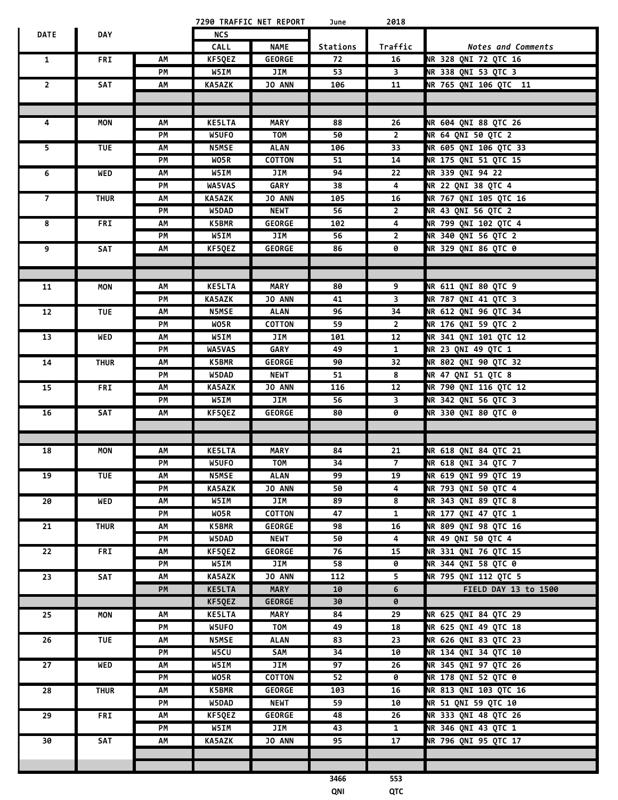|                         |             |    |                      | 7290 TRAFFIC NET REPORT | June     | 2018                          |                             |
|-------------------------|-------------|----|----------------------|-------------------------|----------|-------------------------------|-----------------------------|
| DATE                    | <b>DAY</b>  |    | <b>NCS</b>           |                         |          |                               |                             |
|                         |             |    | <b>CALL</b>          | <b>NAME</b>             | Stations | Traffic                       | Notes and Comments          |
| $\mathbf{1}$            | FRI         | AΜ | KF5QEZ               | <b>GEORGE</b>           | 72       | 16                            | <b>NR 328 QNI 72 QTC 16</b> |
|                         |             | PM | W5IM                 | JIM                     | 53       | $\overline{\mathbf{3}}$       | NR 338 QNI 53 QTC 3         |
| $\mathbf{2}$            | SAT         | АΜ | KA5AZK               | JO ANN                  | 106      | 11                            | NR 765 QNI 106 QTC 11       |
|                         |             |    |                      |                         |          |                               |                             |
|                         |             |    |                      |                         |          |                               |                             |
| 4                       | MON         | АΜ | <b>KE5LTA</b>        | <b>MARY</b>             | 88       | 26                            | <b>NR 604 QNI 88 QTC 26</b> |
|                         |             | PМ | W5UFO                | TOM                     | 50       | $\mathbf{2}$                  | NR 64 QNI 50 QTC 2          |
| $\overline{\mathbf{5}}$ | <b>TUE</b>  | АΜ | <b>N5MSE</b>         | <b>ALAN</b>             | 106      | 33                            | NR 605 QNI 106 QTC 33       |
|                         |             | PM | WO5R                 | <b>COTTON</b>           | 51       | 14                            | NR 175 QNI 51 QTC 15        |
| 6                       | WED         | АΜ | W5IM                 | JIM                     | 94       | 22                            | NR 339 QNI 94 22            |
|                         |             | PМ | WA5VAS               | <b>GARY</b>             | 38       | 4                             | <b>NR 22 QNI 38 QTC 4</b>   |
| $\overline{7}$          | <b>THUR</b> | АΜ | KA5AZK               | <b>JO ANN</b>           | 105      | 16                            | NR 767 QNI 105 QTC 16       |
|                         |             | PМ | W5DAD                | <b>NEWT</b>             | 56       | $\overline{2}$                | NR 43 QNI 56 QTC 2          |
| 8                       | <b>FRI</b>  | АΜ | K5BMR                | <b>GEORGE</b>           | 102      | 4                             | NR 799 QNI 102 QTC 4        |
|                         |             | PМ | W5IM                 | JIM                     | 56       | $\overline{2}$                | NR 340 QNI 56 QTC 2         |
| 9                       | SAT         | АΜ | KF5QEZ               | <b>GEORGE</b>           | 86       | 0                             | <b>NR 329 QNI 86 QTC 0</b>  |
|                         |             |    |                      |                         |          |                               |                             |
|                         |             |    |                      |                         |          |                               |                             |
| 11                      | MON         | АΜ | <b>KE5LTA</b>        | MARY                    | 80       | 9                             | <b>NR 611 QNI 80 QTC 9</b>  |
|                         |             | PМ | KA5AZK               | <b>JO ANN</b>           | 41       | $\overline{\mathbf{3}}$       | NR 787 QNI 41 QTC 3         |
| 12                      | <b>TUE</b>  | АΜ | <b>N5MSE</b>         | <b>ALAN</b>             | 96       | 34                            | <b>NR 612 QNI 96 QTC 34</b> |
|                         |             | PМ | WO5R                 | <b>COTTON</b>           | 59       | $\overline{2}$                | NR 176 QNI 59 QTC 2         |
| 13                      | WED         | АΜ | W5IM                 | JIM                     | 101      | 12                            | NR 341 QNI 101 QTC 12       |
|                         |             | PМ | <b>WA5VAS</b>        | <b>GARY</b>             | 49       | $\mathbf{1}$                  | NR 23 QNI 49 QTC 1          |
| 14                      | <b>THUR</b> | АΜ | K5BMR                | <b>GEORGE</b>           | 90       | 32                            | NR 802 QNI 90 QTC 32        |
|                         |             | PM | W5DAD                | <b>NEWT</b>             | 51       | 8                             | NR 47 QNI 51 QTC 8          |
| 15                      | FRI         | АΜ | KA5AZK               | <b>JO ANN</b>           | 116      | 12                            | NR 790 QNI 116 QTC 12       |
|                         |             | PМ | W5IM                 | JIM                     | 56       | 3                             | NR 342 QNI 56 QTC 3         |
| 16                      | SAT         | АΜ | KF5QEZ               | <b>GEORGE</b>           | 80       | 0                             | <b>NR 330 QNI 80 QTC 0</b>  |
|                         |             |    |                      |                         |          |                               |                             |
|                         |             |    |                      |                         |          |                               |                             |
| 18                      | MON         | АΜ | <b>KE5LTA</b>        | <b>MARY</b>             | 84       | 21                            | NR 618 QNI 84 QTC 21        |
|                         |             | PM | W5UFO                | <b>TOM</b>              | 34       | 7 <sup>7</sup>                | NR 618 QNI 34 QTC 7         |
| 19                      | TUE         | ΛМ | <b>N5MSE</b>         | <b>ALAN</b>             | 99       | 19                            | NR 619 QNI 99 QTC 19        |
|                         |             | PM | KA5AZK               | JO ANN                  | 50       | $\overline{4}$                | NR 793 QNI 50 QTC 4         |
| 20                      | WED         | АΜ | W5IM                 | JIM                     | 89       | 8                             | NR 343 QNI 89 QTC 8         |
|                         |             | PМ | WO5R                 | <b>COTTON</b>           | 47       | $\mathbf{1}$                  | NR 177 QNI 47 QTC 1         |
| 21                      | <b>THUR</b> | АM | <b>K5BMR</b>         | <b>GEORGE</b>           | 98       | 16                            | NR 809 QNI 98 QTC 16        |
|                         |             | PM | <b>W5DAD</b>         | <b>NEWT</b>             | 50       | 4                             | NR 49 QNI 50 QTC 4          |
| 22                      | FRI         | ΛМ | KF5QEZ               | <b>GEORGE</b>           | 76       | 15                            | NR 331 QNI 76 QTC 15        |
|                         |             | PМ | W5IM                 | JIM                     | 58       | 0                             | NR 344 QNI 58 QTC 0         |
| 23                      | SAT         | АΜ | KA5AZK               | <b>JO ANN</b>           | 112      | 5                             | NR 795 QNI 112 QTC 5        |
|                         |             | PM | <b>KE5LTA</b>        | <b>MARY</b>             | 10       | 6                             | FIELD DAY 13 to 1500        |
|                         |             |    | KF5QEZ               | <b>GEORGE</b>           | 30       | 0                             |                             |
| 25                      | MON         | ΛМ | <b>KE5LTA</b>        | <b>MARY</b>             | 84       | 29                            | NR 625 QNI 84 QTC 29        |
|                         |             | PМ | W5UFO                | TOM                     | 49       | 18                            | NR 625 QNI 49 QTC 18        |
|                         |             |    |                      |                         |          |                               | NR 626 QNI 83 QTC 23        |
| 26                      | TUE         | АΜ | <b>N5MSE</b><br>W5CU | <b>ALAN</b>             | 83       | 23                            | <b>NR 134 QNI 34 QTC 10</b> |
|                         |             | PМ |                      | SAM                     | 34       | 10                            |                             |
| 27                      | WED         | АΜ | W5IM                 | JIM                     | 97       | 26<br>$\overline{\mathbf{e}}$ | NR 345 QNI 97 QTC 26        |
|                         |             | PМ | WO5R                 | <b>COTTON</b>           | 52       |                               | NR 178 QNI 52 QTC 0         |
| 28                      | <b>THUR</b> | АΜ | <b>K5BMR</b>         | <b>GEORGE</b>           | 103      | 16                            | NR 813 QNI 103 QTC 16       |
|                         |             | PМ | W5DAD                | <b>NEWT</b>             | 59       | 10                            | NR 51 QNI 59 QTC 10         |
| 29                      | FRI         | АΜ | KF5QEZ               | <b>GEORGE</b>           | 48       | 26                            | NR 333 QNI 48 QTC 26        |
|                         |             | PМ | W5IM                 | JIM                     | 43       | $\mathbf{1}$                  | NR 346 QNI 43 QTC 1         |
| 30                      | SAT         | ΛМ | <b>KA5AZK</b>        | <b>JO ANN</b>           | 95       | 17                            | NR 796 QNI 95 QTC 17        |
|                         |             |    |                      |                         |          |                               |                             |
|                         |             |    |                      |                         |          |                               |                             |
|                         |             |    |                      |                         | 3466     | 553                           |                             |
|                         |             |    |                      |                         | QNI      | QTC                           |                             |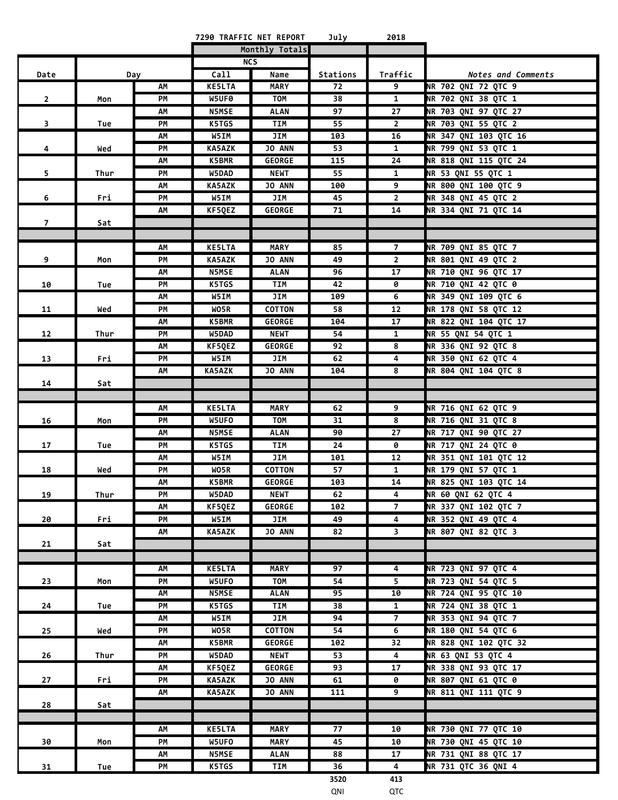|                |      |          |                       | 7290 TRAFFIC NET REPORT   | July     | 2018                             |                                             |
|----------------|------|----------|-----------------------|---------------------------|----------|----------------------------------|---------------------------------------------|
|                |      |          |                       | Monthly Totals            |          |                                  |                                             |
|                |      |          |                       | <b>NCS</b>                |          |                                  |                                             |
| Date           |      | Day      | Call                  | Name                      | Stations | Traffic                          | Notes and Comments                          |
|                |      | АΜ       | <b>KE5LTA</b>         | <b>MARY</b>               | 72       | 9                                | NR 702 QNI 72 QTC 9                         |
| $\overline{2}$ | Mon  | PM       | W5UF0<br><b>N5MSE</b> | <b>TOM</b><br><b>ALAN</b> | 38<br>97 | $\mathbf{1}$<br>27               | NR 702 QNI 38 QTC 1<br>NR 703 QNI 97 QTC 27 |
|                |      | АΜ<br>PМ | K5TGS                 | TIM                       | 55       | $\overline{2}$                   | NR 703 QNI 55 QTC 2                         |
| 3              | Tue  | АΜ       | W5IM                  | JIM                       | 103      | 16                               | <b>NR 347 QNI 103 QTC 16</b>                |
| 4              | Wed  | PМ       | <b>KA5AZK</b>         | JO ANN                    | 53       | $\mathbf{1}$                     | NR 799 QNI 53 QTC 1                         |
|                |      | АΜ       | K5BMR                 | <b>GEORGE</b>             | 115      | 24                               | NR 818 QNI 115 QTC 24                       |
| 5              | Thur | PM       | W5DAD                 | <b>NEWT</b>               | 55       | $\mathbf{1}$                     | NR 53 QNI 55 QTC 1                          |
|                |      | АΜ       | <b>KA5AZK</b>         | <b>JO ANN</b>             | 100      | 9                                | <b>NR 800 QNI 100 QTC 9</b>                 |
| 6              | Fri  | PM       | W5IM                  | JIM                       | 45       | $\overline{2}$                   | NR 348 QNI 45 QTC 2                         |
|                |      | АM       | KF5QEZ                | <b>GEORGE</b>             | 71       | 14                               | NR 334 QNI 71 QTC 14                        |
| 7              | Sat  |          |                       |                           |          |                                  |                                             |
|                |      |          |                       |                           |          |                                  |                                             |
|                |      | АΜ       | <b>KE5LTA</b>         | <b>MARY</b>               | 85       | $\overline{7}$                   | NR 709 QNI 85 QTC 7                         |
| 9              | Mon  | PМ       | <b>KA5AZK</b>         | <b>JO ANN</b>             | 49       | $\overline{2}$                   | NR 801 QNI 49 QTC 2                         |
|                |      | АΜ       | <b>N5MSE</b>          | <b>ALAN</b>               | 96       | 17                               | NR 710 QNI 96 QTC 17                        |
| 10             | Tue  | PМ       | K5TGS                 | TIM                       | 42       | 0                                | <b>NR 710 QNI 42 QTC 0</b>                  |
|                |      | АΜ       | W5IM                  | JIM                       | 109      | 6                                | NR 349 QNI 109 QTC 6                        |
| 11             | Wed  | PM       | WO5R                  | <b>COTTON</b>             | 58       | 12                               | NR 178 QNI 58 QTC 12                        |
|                |      | АΜ       | K5BMR                 | <b>GEORGE</b>             | 104      | 17                               | <b>NR 822 QNI 104 QTC 17</b>                |
| 12             | Thur | PM<br>АΜ | W5DAD                 | <b>NEWT</b><br>GEORGE     | 54<br>92 | $\mathbf{1}$<br>8                | NR 55 QNI 54 QTC 1<br>NR 336 QNI 92 QTC 8   |
| 13             | Fri  | PM       | KF5QEZ<br>W5IM        | JIM                       | 62       | 4                                | NR 350 QNI 62 QTC 4                         |
|                |      | AM       | <b>KA5AZK</b>         | <b>JO ANN</b>             | 104      | 8                                | NR 804 QNI 104 QTC 8                        |
| 14             | Sat  |          |                       |                           |          |                                  |                                             |
|                |      |          |                       |                           |          |                                  |                                             |
|                |      | АΜ       | <b>KE5LTA</b>         | <b>MARY</b>               | 62       | 9                                | NR 716 QNI 62 QTC 9                         |
| 16             | Mon  | PM       | W5UFO                 | <b>TOM</b>                | 31       | 8                                | NR 716 QNI 31 QTC 8                         |
|                |      | АΜ       | <b>N5MSE</b>          | <b>ALAN</b>               | 90       | 27                               | NR 717 QNI 90 QTC 27                        |
| 17             | Tue  | PM       | K5TGS                 | TIM                       | 24       | 0                                | NR 717 QNI 24 QTC 0                         |
|                |      | АΜ       | W5IM                  | JIM                       | 101      | 12                               | NR 351 QNI 101 QTC 12                       |
| 18             | Wed  | PМ       | WO5R                  | COTTON                    | 57       | $\mathbf{1}$                     | NR 179 QNI 57 QTC 1                         |
|                |      | AM       | K5BMR                 | <b>GEORGE</b>             | 103      | ${\bf 14}$                       | NR 825 QNI 103 QTC 14                       |
| 19             | Thur | PМ       | W5DAD                 | NEWT                      | 62       | 4                                | <b>NR 60 QNI 62 QTC 4</b>                   |
|                |      | АM       | KF5QEZ                | <b>GEORGE</b>             | 102      | 7 <sup>7</sup><br>$\overline{4}$ | NR 337 QNI 102 QTC 7                        |
| 20             | Fri  | PM<br>АΜ | W5IM<br>KA5AZK        | JIM<br>JO ANN             | 49<br>82 | $\overline{\mathbf{3}}$          | NR 352 QNI 49 QTC 4<br>NR 807 QNI 82 QTC 3  |
| 21             | Sat  |          |                       |                           |          |                                  |                                             |
|                |      |          |                       |                           |          |                                  |                                             |
|                |      | АΜ       | <b>KE5LTA</b>         | <b>MARY</b>               | 97       | 4                                | <b>NR 723 QNI 97 QTC 4</b>                  |
| 23             | Mon  | PM       | W5UFO                 | TOM                       | 54       | $\overline{\mathbf{5}}$          | NR 723 QNI 54 QTC 5                         |
|                |      | АM       | <b>N5MSE</b>          | <b>ALAN</b>               | 95       | 10                               | NR 724 QNI 95 QTC 10                        |
| 24             | Tue  | PM       | K5TGS                 | TIM                       | 38       | $\mathbf{1}$                     | NR 724 QNI 38 QTC 1                         |
|                |      | АM       | W5IM                  | JIM                       | 94       | $\overline{7}$                   | NR 353 QNI 94 QTC 7                         |
| 25             | Wed  | PM       | WO5R                  | <b>COTTON</b>             | 54       | 6                                | NR 180 QNI 54 QTC 6                         |
|                |      | ΛМ       | <b>K5BMR</b>          | <b>GEORGE</b>             | 102      | 32                               | NR 828 QNI 102 QTC 32                       |
| 26             | Thur | PM       | W5DAD                 | <b>NEWT</b>               | 53       | 4                                | NR 63 QNI 53 QTC 4                          |
|                |      | ΛМ       | KF5QEZ                | <b>GEORGE</b>             | 93       | 17                               | NR 338 QNI 93 QTC 17                        |
| 27             | Fri  | PM       | <b>KA5AZK</b>         | JO ANN                    | 61       | 0                                | <b>NR 807 QNI 61 QTC 0</b>                  |
|                |      | AM       | <b>KA5AZK</b>         | JO ANN                    | 111      | 9                                | NR 811 QNI 111 QTC 9                        |
| 28             | Sat  |          |                       |                           |          |                                  |                                             |
|                |      | AM       | <b>KE5LTA</b>         | <b>MARY</b>               | 77       | 10                               | <b>NR 730 QNI 77 QTC 10</b>                 |
| 30             |      | PM       | W5UFO                 | <b>MARY</b>               | 45       | 10                               | NR 730 QNI 45 QTC 10                        |
|                | Mon  | АM       | <b>N5MSE</b>          | <b>ALAN</b>               | 88       | 17                               | NR 731 QNI 88 QTC 17                        |
| 31             | Tue  | PM       | K5TGS                 | TIM                       | 36       | 4                                | NR 731 QTC 36 QNI 4                         |
|                |      |          |                       |                           |          |                                  |                                             |

**3520 413** QNI QTC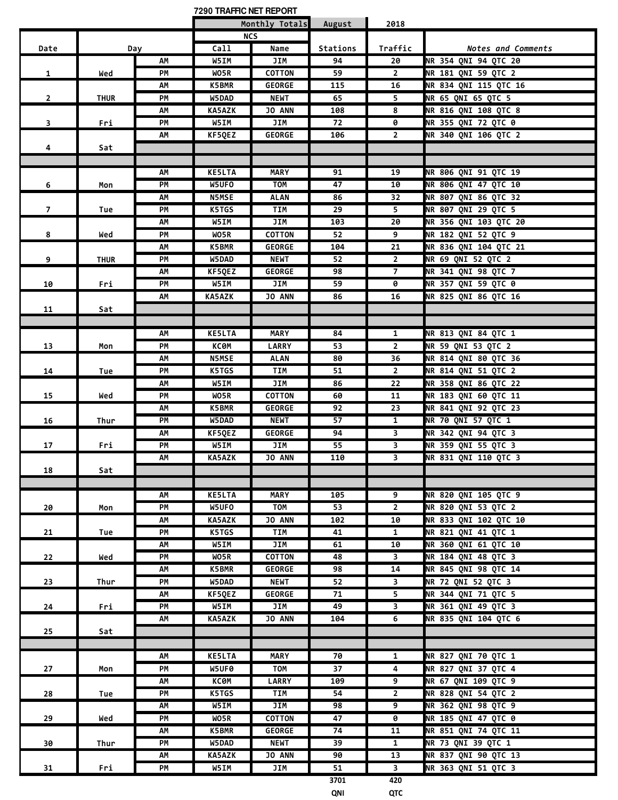|                |             |     | 7290 TRAFFIC NET REPORT |                |          |                         |                            |
|----------------|-------------|-----|-------------------------|----------------|----------|-------------------------|----------------------------|
|                |             |     |                         | Monthly Totals | August   | 2018                    |                            |
|                |             |     |                         | <b>NCS</b>     |          |                         |                            |
| Date           |             | Day | Call                    | Name           | Stations | Traffic                 | Notes and Comments         |
|                |             | AΜ  | W5IM                    | JIM            | 94       | 20                      | NR 354 QNI 94 QTC 20       |
| $\mathbf{1}$   | Wed         | PМ  | WO5R                    | COTTON         | 59       | $\overline{2}$          | NR 181 QNI 59 QTC 2        |
|                |             | АΜ  | <b>K5BMR</b>            | <b>GEORGE</b>  | 115      | 16                      | NR 834 QNI 115 QTC 16      |
| $\overline{2}$ | <b>THUR</b> | PМ  | W5DAD                   | <b>NEWT</b>    | 65       | 5.                      | NR 65 QNI 65 QTC 5         |
|                |             | АΜ  | KA5AZK                  | JO ANN         | 108      | 8                       | NR 816 QNI 108 QTC 8       |
| $\mathbf{3}$   | Fri         | PМ  | W5IM                    | JIM            | 72       | 0                       | NR 355 QNI 72 QTC 0        |
|                |             | АΜ  | KF5QEZ                  | <b>GEORGE</b>  | 106      | $\overline{2}$          | NR 340 QNI 106 QTC 2       |
| 4              | Sat         |     |                         |                |          |                         |                            |
|                |             |     |                         |                |          |                         |                            |
|                |             | AΜ  | <b>KE5LTA</b>           | <b>MARY</b>    | 91       | 19                      | NR 806 QNI 91 QTC 19       |
| 6              | Mon         | PM  | W5UFO                   | <b>TOM</b>     | 47       | 10                      | NR 806 QNI 47 QTC 10       |
|                |             | АΜ  | <b>N5MSE</b>            | <b>ALAN</b>    | 86       | 32                      | NR 807 QNI 86 QTC 32       |
| 7 <sup>7</sup> | Tue         | PМ  | K5TGS                   | TIM            | 29       | 5                       | NR 807 QNI 29 QTC 5        |
|                |             | АΜ  | W5IM                    | JIM            | 103      | 20                      | NR 356 QNI 103 QTC 20      |
| 8              | Wed         | PМ  | WO5R                    | <b>COTTON</b>  | 52       | 9                       | NR 182 QNI 52 QTC 9        |
|                |             | АМ  | <b>K5BMR</b>            | <b>GEORGE</b>  | 104      | 21                      | NR 836 QNI 104 QTC 21      |
| 9              | <b>THUR</b> | PМ  | W5DAD                   | <b>NEWT</b>    | 52       | $\mathbf{2}$            | NR 69 QNI 52 QTC 2         |
|                |             | АΜ  | KF5QEZ                  | <b>GEORGE</b>  | 98       | $\overline{7}$          | NR 341 QNI 98 QTC 7        |
| 10             | Fri         | PМ  | W5IM                    | JIM            | 59       | 0                       | NR 357 QNI 59 QTC 0        |
|                |             | АΜ  | KA5AZK                  | <b>JO ANN</b>  | 86       | 16                      | NR 825 QNI 86 QTC 16       |
| 11             | Sat         |     |                         |                |          |                         |                            |
|                |             |     |                         |                |          |                         |                            |
|                |             | АΜ  | <b>KE5LTA</b>           | <b>MARY</b>    | 84       | $\mathbf{1}$            | NR 813 QNI 84 QTC 1        |
| 13             | Mon         | PM  | <b>KCOM</b>             | LARRY          | 53       | $\overline{2}$          | NR 59 QNI 53 QTC 2         |
|                |             | АΜ  | <b>N5MSE</b>            | <b>ALAN</b>    | 80       | 36                      | NR 814 QNI 80 QTC 36       |
| 14             | Tue         | PM  | K5TGS                   | TIM            | 51       | $\overline{2}$          | NR 814 QNI 51 QTC 2        |
|                |             | АΜ  | W5IM                    | JIM            | 86       | 22                      | NR 358 QNI 86 QTC 22       |
| 15             | Wed         | PМ  | WO5R                    | COTTON         | 60       | 11                      | NR 183 QNI 60 QTC 11       |
|                |             | АΜ  | <b>K5BMR</b>            | <b>GEORGE</b>  | 92       | 23                      | NR 841 QNI 92 QTC 23       |
| 16             | Thur        | PМ  | W5DAD                   | <b>NEWT</b>    | 57       | $\mathbf{1}$            | NR 70 QNI 57 QTC 1         |
|                |             | АΜ  | KF5QEZ                  | <b>GEORGE</b>  | 94       | $\overline{\mathbf{3}}$ | NR 342 QNI 94 QTC 3        |
| 17             | Fri         | PМ  | W5IM                    | JIM            | 55       | 3                       | NR 359 QNI 55 QTC 3        |
|                |             | AM  | <b>KA5AZK</b>           | <b>JO ANN</b>  | 110      | $\overline{\mathbf{3}}$ | NR 831 QNI 110 QTC 3       |
| 18             | Sat         |     |                         |                |          |                         |                            |
|                |             |     |                         |                |          |                         |                            |
|                |             | АΜ  | <b>KE5LTA</b>           | <b>MARY</b>    | 105      | 9                       | NR 820 QNI 105 QTC 9       |
| 20             | Mon         | PM  | W5UFO                   | <b>TOM</b>     | 53       | $\overline{2}$          | NR 820 QNI 53 QTC 2        |
|                |             | АΜ  | <b>KA5AZK</b>           | JO ANN         | 102      | 10                      | NR 833 QNI 102 QTC 10      |
| 21             | Tue         | PM  | K5TGS                   | TIM            | 41       | $\mathbf{1}$            | NR 821 QNI 41 QTC 1        |
|                |             | АΜ  | W5IM                    | JIM            | 61       | 10                      | NR 360 QNI 61 QTC 10       |
| 22             | Wed         | PM  | WO5R                    | <b>COTTON</b>  | 48       | 3                       | <b>NR 184 QNI 48 QTC 3</b> |
|                |             | АМ  | K5BMR                   | <b>GEORGE</b>  | 98       | 14                      | NR 845 QNI 98 QTC 14       |
| 23             | Thur        | PM  | W5DAD                   | <b>NEWT</b>    | 52       | $\overline{\mathbf{3}}$ | NR 72 QNI 52 QTC 3         |
|                |             | АΜ  | KF5QEZ                  | <b>GEORGE</b>  | 71       | 5                       | NR 344 QNI 71 QTC 5        |
| 24             | Fri         | PМ  | W5IM                    | JIM            | 49       | $\mathbf{3}$            | NR 361 QNI 49 QTC 3        |
|                |             | АΜ  | <b>KA5AZK</b>           | <b>JO ANN</b>  | 104      | 6                       | NR 835 QNI 104 QTC 6       |
| 25             | Sat         |     |                         |                |          |                         |                            |
|                |             |     |                         |                |          |                         |                            |
|                |             | АМ  | <b>KE5LTA</b>           | <b>MARY</b>    | 70       | $\mathbf{1}$            | NR 827 QNI 70 QTC 1        |
| 27             | Mon         | PM  | W5UF0                   | <b>TOM</b>     | 37       | $\overline{\mathbf{4}}$ | NR 827 QNI 37 QTC 4        |
|                |             | АΜ  | <b>KCOM</b>             | <b>LARRY</b>   | 109      | $\overline{9}$          | NR 67 QNI 109 QTC 9        |
| 28             | Tue         | PM  | K5TGS                   | <b>TIM</b>     | 54       | $\overline{2}$          | NR 828 QNI 54 QTC 2        |
|                |             | АМ  | W5IM                    | JIM            | 98       | 9                       | NR 362 QNI 98 QTC 9        |
| 29             | Wed         | PМ  | WO5R                    | COTTON         | 47       | 0                       | <b>NR 185 QNI 47 QTC 0</b> |
|                |             | АΜ  | K5BMR                   | <b>GEORGE</b>  | 74       | 11                      | NR 851 QNI 74 QTC 11       |
| 30             | Thur        | PM  | W5DAD                   | <b>NEWT</b>    | 39       | $\mathbf{1}$            | NR 73 QNI 39 QTC 1         |
|                |             | АΜ  | <b>KA5AZK</b>           | JO ANN         | 90       | 13                      | NR 837 QNI 90 QTC 13       |
| 31             | Fri         | PМ  | W5IM                    | JIM            | 51       | $\overline{\mathbf{3}}$ | NR 363 QNI 51 QTC 3        |
|                |             |     |                         |                | 3701     | 420                     |                            |
|                |             |     |                         |                | QNI      | <b>QTC</b>              |                            |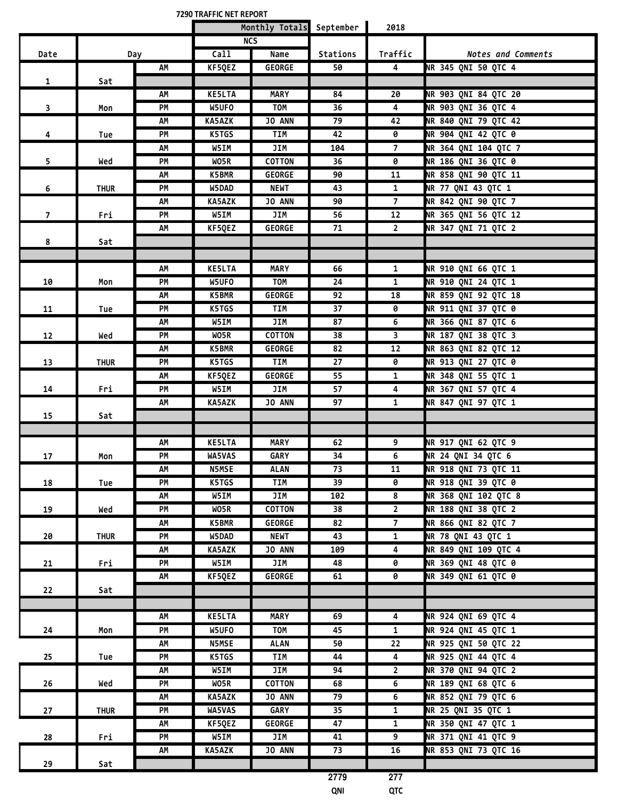**7290 TRAFFIC NET REPORT Monthly Totals September 2018 Date Day NCS Call Name Stations Traffic** *Notes and Comments* **1 Sat AM KF5QEZ GEORGE 50 4 NR 345 QNI 50 QTC 4 3 Mon AM KE5LTA MARY 84 20 NR 903 QNI 84 QTC 20 PM W5UFO TOM 36 4 NR 903 QNI 36 QTC 4 4 Tue AM KA5AZK JO ANN 79 42 NR 840 QNI 79 QTC 42 PM K5TGS TIM 42 0 NR 904 QNI 42 QTC 0 5 Wed AM W5IM JIM 104 7 NR 364 QNI 104 QTC 7 PM WO5R COTTON 36 0 NR 186 QNI 36 QTC 0 6 THUR AM K5BMR GEORGE 90 11 NR 858 QNI 90 QTC 11 PM W5DAD NEWT 43 1 NR 77 QNI 43 QTC 1 7 Fri AM KA5AZK JO ANN 90 7 NR 842 QNI 90 QTC 7 PM W5IM JIM 56 12 NR 365 QNI 56 QTC 12 8 Sat AM KF5QEZ GEORGE 71 2 NR 347 QNI 71 QTC 2 10 Mon AM KE5LTA MARY 66 1 NR 910 QNI 66 QTC 1 PM W5UFO TOM 24 1 NR 910 QNI 24 QTC 1 11 Tue AM K5BMR GEORGE 92 18 NR 859 QNI 92 QTC 18 PM K5TGS TIM 37 0 NR 911 QNI 37 QTC 0 12 Wed AM W5IM JIM 87 6 NR 366 QNI 87 QTC 6 PM WO5R COTTON 38 3 NR 187 QNI 38 QTC 3 13 THUR AM K5BMR GEORGE 82 12 NR 863 QNI 82 QTC 12 PM K5TGS TIM 27 0 NR 913 QNI 27 QTC 0 14 Fri AM KF5QEZ GEORGE 55 1 NR 348 QNI 55 QTC 1 PM W5IM JIM 57 4 NR 367 QNI 57 QTC 4 15 Sat AM KA5AZK JO ANN 97 1 NR 847 QNI 97 QTC 1 17 Mon AM KE5LTA MARY 62 9 NR 917 QNI 62 QTC 9 PM WA5VAS GARY 34 6 NR 24 QNI 34 QTC 6 18 Tue AM N5MSE ALAN 73 11 NR 918 QNI 73 QTC 11 PM K5TGS TIM 39 0 NR 918 QNI 39 QTC 0 19 Wed AM W5IM JIM 102 8 NR 368 QNI 102 QTC 8 PM WO5R COTTON 38 2 NR 188 QNI 38 QTC 2 20 THUR AM K5BMR GEORGE 82 7 NR 866 QNI 82 QTC 7 PM W5DAD NEWT 43 1 NR 78 QNI 43 QTC 1 21 Fri AM KA5AZK JO ANN 109 4 NR 849 QNI 109 QTC 4 PM W5IM JIM 48 0 NR 369 QNI 48 QTC 0 22 Sat AM KF5QEZ GEORGE 61 0 NR 349 QNI 61 QTC 0 24 Mon AM KE5LTA MARY 69 4 NR 924 QNI 69 QTC 4 PM W5UFO TOM 45 1 NR 924 QNI 45 QTC 1 25 Tue AM N5MSE ALAN 50 22 NR 925 QNI 50 QTC 22 PM K5TGS TIM 44 4 NR 925 QNI 44 QTC 4 26 Wed AM W5IM JIM 94 2 NR 370 QNI 94 QTC 2 PM WO5R COTTON 68 6 NR 189 QNI 68 QTC 6 27 THUR AM KA5AZK JO ANN 79 6 NR 852 QNI 79 QTC 6 PM WA5VAS GARY 35 1 NR 25 QNI 35 QTC 1 28 Fri AM KF5QEZ GEORGE 47 1 NR 350 QNI 47 QTC 1 PM W5IM JIM 41 9 NR 371 QNI 41 QTC 9 29 Sat AM KA5AZK JO ANN 73 16 NR 853 QNI 73 QTC 16 2779 277 QNI QTC**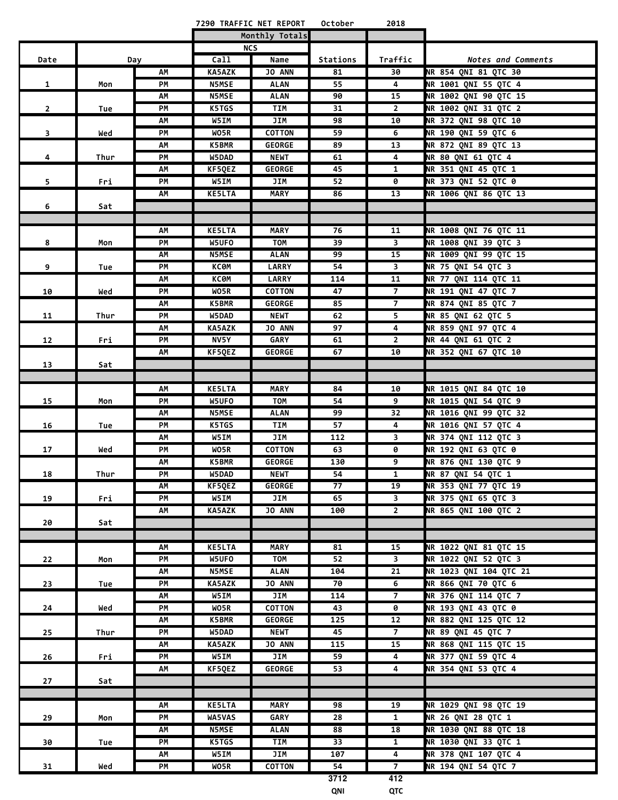|                |      |          |                       | 7290 TRAFFIC NET REPORT | October  | 2018           |                                               |
|----------------|------|----------|-----------------------|-------------------------|----------|----------------|-----------------------------------------------|
|                |      |          |                       | Monthly Totals          |          |                |                                               |
|                |      |          |                       | <b>NCS</b>              |          |                |                                               |
| Date           |      | Day      | Call                  | Name                    | Stations | Traffic        | <b>Notes and Comments</b>                     |
|                |      | AΜ       | <b>KA5AZK</b>         | <b>JO ANN</b>           | 81       | 30             | NR 854 QNI 81 QTC 30                          |
| $\mathbf{1}$   | Mon  | PM       | <b>N5MSE</b>          | <b>ALAN</b>             | 55       | 4              | NR 1001 QNI 55 QTC 4                          |
|                |      | АΜ       | <b>N5MSE</b>          | ALAN                    | 90       | 15             | NR 1002 QNI 90 QTC 15                         |
| $\overline{2}$ | Tue  | РM       | K5TGS                 | TIM                     | 31       | $\mathbf{2}$   | NR 1002 QNI 31 QTC 2                          |
|                |      | АΜ       | W5IM                  | JIM                     | 98       | 10             | NR 372 QNI 98 QTC 10                          |
| 3              | Wed  | PМ       | WO5R                  | <b>COTTON</b>           | 59       | 6              | NR 190 QNI 59 QTC 6                           |
|                |      | АΜ       | K5BMR                 | <b>GEORGE</b>           | 89       | 13             | NR 872 QNI 89 QTC 13                          |
| 4              | Thur | PМ       | W5DAD                 | <b>NEWT</b>             | 61       | 4              | <b>NR 80 ONI 61 OTC 4</b>                     |
|                |      | АΜ       | KF5QEZ                | <b>GEORGE</b>           | 45       | 1              | NR 351 QNI 45 QTC 1                           |
| 5              | Fri  | PМ       | W5IM                  | JIM                     | 52       | 0              | NR 373 QNI 52 QTC 0                           |
|                |      | АΜ       | <b>KE5LTA</b>         | <b>MARY</b>             | 86       | 13             | NR 1006 QNI 86 QTC 13                         |
| 6              | Sat  |          |                       |                         |          |                |                                               |
|                |      |          |                       |                         |          |                |                                               |
|                |      | АΜ       | <b>KE5LTA</b>         | <b>MARY</b>             | 76       | 11             | NR 1008 QNI 76 QTC 11                         |
| 8              | Mon  | PM       | W5UFO                 | TOM                     | 39       | 3              | NR 1008 ONI 39 OTC 3                          |
|                |      | АΜ       | <b>N5MSE</b>          | <b>ALAN</b>             | 99       | 15             | NR 1009 QNI 99 QTC 15                         |
| 9              | Tue  | PM       | КСӨМ                  | <b>LARRY</b>            | 54       | 3              | NR 75 ONI 54 OTC 3                            |
|                |      | АΜ       | КСӨМ                  | <b>LARRY</b>            | 114      | 11             | NR 77 QNI 114 QTC 11                          |
| 10             | Wed  | PM       | WO5R                  | <b>COTTON</b>           | 47       | $\overline{7}$ | NR 191 QNI 47 QTC 7                           |
|                |      | AM       | K5BMR                 | <b>GEORGE</b>           | 85       | $\overline{7}$ | NR 874 QNI 85 QTC 7                           |
| 11             | Thur | PM       | W5DAD                 | <b>NEWT</b>             | 62       | 5              | NR 85 QNI 62 QTC 5                            |
|                |      | АΜ       | <b>KA5AZK</b>         | JO ANN                  | 97       | 4              | NR 859 QNI 97 QTC 4                           |
| 12             | Fri  | PM       | NV5Y                  | GARY                    | 61       | $\overline{2}$ | NR 44 QNI 61 QTC 2                            |
|                |      | AM       | KF5QEZ                | <b>GEORGE</b>           | 67       | 10             | NR 352 QNI 67 QTC 10                          |
| 13             | Sat  |          |                       |                         |          |                |                                               |
|                |      |          |                       |                         |          |                |                                               |
|                |      | AM       | <b>KE5LTA</b>         | <b>MARY</b>             | 84       | 10             | NR 1015 QNI 84 QTC 10<br>NR 1015 QNI 54 QTC 9 |
| 15             | Mon  | PM       | W5UFO<br><b>N5MSE</b> | TOM<br><b>ALAN</b>      | 54<br>99 | 9<br>32        | NR 1016 QNI 99 QTC 32                         |
|                |      | АΜ<br>PM | K5TGS                 | TIM                     | 57       | 4              | NR 1016 QNI 57 QTC 4                          |
| 16             | Tue  | АΜ       | W5IM                  | JIM                     | 112      | 3              | NR 374 QNI 112 QTC 3                          |
| 17             | Wed  | PM       | WO5R                  | <b>COTTON</b>           | 63       | 0              | NR 192 QNI 63 QTC 0                           |
|                |      | АΜ       | <b>K5BMR</b>          | <b>GEORGE</b>           | 130      | 9              | NR 876 QNI 130 QTC 9                          |
| 18             | Thur | РM       | W5DAD                 | <b>NEWT</b>             | 54       | $\mathbf{1}$   | NR 87 QNI 54 QTC 1                            |
|                |      | АΜ       | KF5QEZ                | <b>GEORGE</b>           | 77       | 19             | NR 353 QNI 77 QTC 19                          |
| 19             | Fri  | PM       | <b>W5IM</b>           | JIM                     | 65       | 3              | NR 375 QNI 65 QTC 3                           |
|                |      | АΜ       | <b>KA5AZK</b>         | <b>JO ANN</b>           | 100      | $\mathbf{2}$   | NR 865 QNI 100 QTC 2                          |
| 20             | Sat  |          |                       |                         |          |                |                                               |
|                |      |          |                       |                         |          |                |                                               |
|                |      | АΜ       | <b>KE5LTA</b>         | <b>MARY</b>             | 81       | 15             | NR 1022 ONI 81 OTC 15                         |
| 22             | Mon  | PM       | W5UFO                 | TOM                     | 52       | 3              | NR 1022 QNI 52 QTC 3                          |
|                |      | AM       | <b>N5MSE</b>          | ALAN                    | 104      | 21             | NR 1023 QNI 104 QTC 21                        |
| 23             | Tue  | PM       | <b>KA5AZK</b>         | JO ANN                  | 70       | 6              | NR 866 QNI 70 QTC 6                           |
|                |      | АΜ       | W5IM                  | JIM                     | 114      | $\overline{7}$ | NR 376 QNI 114 QTC 7                          |
| 24             | Wed  | PM       | WO5R                  | COTTON                  | 43       | 0              | NR 193 QNI 43 QTC 0                           |
|                |      | АΜ       | <b>K5BMR</b>          | <b>GEORGE</b>           | 125      | 12             | NR 882 QNI 125 QTC 12                         |
| 25             | Thur | PM       | W5DAD                 | <b>NEWT</b>             | 45       | $\overline{7}$ | NR 89 QNI 45 QTC 7                            |
|                |      | АΜ       | <b>KA5AZK</b>         | JO ANN                  | 115      | 15             | NR 868 QNI 115 QTC 15                         |
| 26             | Fri  | PM       | W5IM                  | JIM                     | 59       | 4              | NR 377 QNI 59 QTC 4                           |
|                |      | АΜ       | KF5QEZ                | <b>GEORGE</b>           | 53       | 4              | NR 354 QNI 53 QTC 4                           |
| 27             | Sat  |          |                       |                         |          |                |                                               |
|                |      |          |                       |                         |          |                |                                               |
|                |      | АΜ       | <b>KE5LTA</b>         | <b>MARY</b>             | 98       | 19             | NR 1029 QNI 98 QTC 19                         |
| 29             | Mon  | PМ       | WA5VAS                | <b>GARY</b>             | 28       | $\mathbf{1}$   | NR 26 QNI 28 QTC 1                            |
|                |      | АΜ       | <b>N5MSE</b>          | <b>ALAN</b>             | 88       | 18             | NR 1030 QNI 88 QTC 18                         |
| 30             | Tue  | PМ       | K5TGS                 | <b>TIM</b>              | 33       | $\overline{1}$ | NR 1030 QNI 33 QTC 1                          |
|                |      | АΜ       | W5IM                  | JIM                     | 107      | $\overline{4}$ | NR 378 QNI 107 QTC 4                          |
| 31             | Wed  | PМ       | WO5R                  | <b>COTTON</b>           | 54       | $\overline{7}$ | NR 194 QNI 54 QTC 7                           |
|                |      |          |                       |                         | 3712     | 412            |                                               |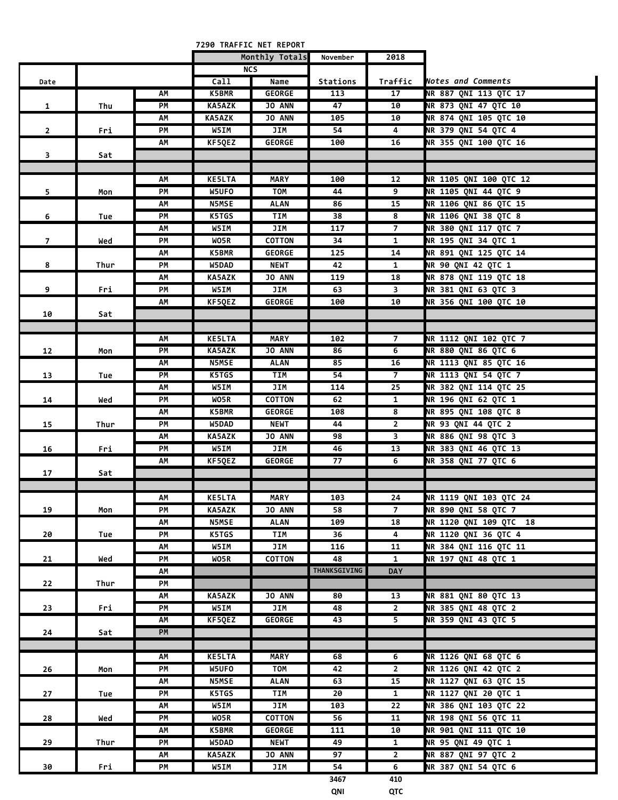| Monthly Totals<br>November<br>2018<br><b>NCS</b><br>Call<br>Name<br>Stations<br>Traffic<br>Notes and Comments<br>Date<br>NR 887 QNI 113 QTC 17<br><b>K5BMR</b><br><b>GEORGE</b><br>АΜ<br>113<br>17<br>NR 873 QNI 47 QTC 10<br>PM<br><b>KA5AZK</b><br><b>JO ANN</b><br>47<br>10<br>$\mathbf{1}$<br>Thu<br><b>NR 874 QNI 105 QTC 10</b><br><b>KA5AZK</b><br>АΜ<br><b>JO ANN</b><br>105<br>10<br>W5IM<br>NR 379 QNI 54 QTC 4<br>PM<br>JIM<br>54<br>4<br>$\overline{2}$<br>Fri<br>NR 355 QNI 100 QTC 16<br>АΜ<br>KF5QEZ<br><b>GEORGE</b><br>100<br>16<br>3<br>Sat<br><b>KE5LTA</b><br>NR 1105 QNI 100 QTC 12<br>AΜ<br><b>MARY</b><br>100<br>12<br>W5UFO<br><b>TOM</b><br>44<br>9<br>NR 1105 QNI 44 QTC 9<br>5<br>PM<br>Mon<br>NR 1106 QNI 86 QTC 15<br><b>N5MSE</b><br>15<br><b>ALAN</b><br>86<br>АΜ<br>NR 1106 QNI 38 QTC 8<br>K5TGS<br>38<br>PM<br>TIM<br>8<br>6<br>Tue<br>117<br>$\overline{7}$<br>NR 380 QNI 117 QTC 7<br>W5IM<br>JIM<br>АΜ<br>WO5R<br><b>COTTON</b><br>34<br>NR 195 QNI 34 QTC 1<br>PM<br>$\mathbf{1}$<br>$\overline{7}$<br>Wed<br>125<br>NR 891 QNI 125 QTC 14<br><b>K5BMR</b><br><b>GEORGE</b><br>14<br>АΜ<br>42<br>NR 90 QNI 42 QTC 1<br>PM<br>W5DAD<br><b>NEWT</b><br>$\mathbf{1}$<br>8<br>Thur<br>JO ANN<br>NR 878 QNI 119 QTC 18<br><b>KA5AZK</b><br>119<br>18<br>АΜ<br>9<br>W5IM<br>NR 381 QNI 63 QTC 3<br>Fri<br>PM<br>JIM<br>63<br>3<br>NR 356 QNI 100 QTC 10<br>KF5QEZ<br><b>GEORGE</b><br>100<br>10<br>АΜ<br>10<br>Sat<br>NR 1112 QNI 102 QTC 7<br><b>KE5LTA</b><br><b>MARY</b><br>$\overline{7}$<br>102<br>АΜ<br><b>NR 880 QNI 86 QTC 6</b><br><b>KA5AZK</b><br><b>JO ANN</b><br>PM<br>86<br>6<br>12<br>Mon<br>NR 1113 QNI 85 QTC 16<br><b>N5MSE</b><br>85<br>ALAN<br>16<br>АΜ<br>NR 1113 QNI 54 QTC 7<br>$\overline{7}$<br>K5TGS<br>54<br>PM<br>TIM<br>13<br>Tue<br>NR 382 QNI 114 QTC 25<br>JIM<br>25<br>W5IM<br>114<br>АΜ<br>NR 196 QNI 62 QTC 1<br><b>COTTON</b><br>$\mathbf{1}$<br>PM<br>WO5R<br>62<br>14<br>Wed<br>8<br>NR 895 QNI 108 QTC 8<br><b>K5BMR</b><br><b>GEORGE</b><br>108<br>АΜ<br>$\overline{2}$<br>NR 93 QNI 44 QTC 2<br>PM<br>W5DAD<br><b>NEWT</b><br>44<br>15<br>Thur<br>NR 886 QNI 98 QTC 3<br>3<br><b>KA5AZK</b><br><b>JO ANN</b><br>98<br>АΜ<br>NR 383 QNI 46 QTC 13<br>PM<br><b>W5IM</b><br>JIM<br>13<br>16<br>46<br>Fri<br>6<br>NR 358 QNI 77 QTC 6<br>KF5QEZ<br><b>GEORGE</b><br>77<br>AM<br>17<br>Sat<br>NR 1119 QNI 103 QTC 24<br>АΜ<br><b>KE5LTA</b><br><b>MARY</b><br>103<br>24<br>$\overline{7}$<br>NR 890 QNI 58 QTC 7<br>PM<br><b>KA5AZK</b><br>JO ANN<br>58<br>19<br>Mon<br>NR 1120 QNI 109 QTC 18<br><b>N5MSE</b><br>18<br>AM<br><b>ALAN</b><br>109<br>NR 1120 QNI 36 QTC 4<br>K5TGS<br>36<br>4<br>PM<br>TIM<br>20<br>Tue<br>W5IM<br>NR 384 QNI 116 QTC 11<br>JIM<br>116<br>11<br>АΜ<br>48<br>NR 197 QNI 48 QTC 1<br>PM<br>WO5R<br><b>COTTON</b><br>$\mathbf{1}$<br>21<br>Wed<br>THANKSGIVING<br><b>DAY</b><br>АΜ<br>22<br>Thur<br>PM<br>NR 881 QNI 80 QTC 13<br>KA5AZK<br><b>JO ANN</b><br>80<br>13<br>АΜ<br>NR 385 QNI 48 QTC 2<br>W5IM<br>JIM<br>PM<br>48<br>$\overline{2}$<br>23<br>Fri<br>NR 359 QNI 43 QTC 5<br>KF5QEZ<br><b>GEORGE</b><br>5 <sup>2</sup><br>43<br>АΜ<br>PM<br>24<br>Sat<br><b>KE5LTA</b><br>NR 1126 QNI 68 QTC 6<br><b>MARY</b><br>68<br>6<br>АΜ<br>W5UFO<br>$\overline{2}$<br>NR 1126 QNI 42 QTC 2<br>26<br>PM<br><b>TOM</b><br>42<br>Mon<br>NR 1127 QNI 63 QTC 15<br><b>N5MSE</b><br><b>ALAN</b><br>63<br>15<br>АΜ<br>K5TGS<br>NR 1127 QNI 20 QTC 1<br>PM<br>TIM<br>20<br>$\mathbf{1}$<br>27<br>Tue<br>NR 386 QNI 103 QTC 22<br>W5IM<br>JIM<br>103<br>22<br>АΜ<br>NR 198 QNI 56 QTC 11<br>PM<br>WO5R<br><b>COTTON</b><br>56<br>28<br>11<br>Wed<br>NR 901 QNI 111 QTC 10<br>K5BMR<br><b>GEORGE</b><br>111<br>10<br>АΜ<br>NR 95 QNI 49 QTC 1<br>29<br>PM<br>W5DAD<br><b>NEWT</b><br>49<br>$\mathbf{1}$<br>Thur<br>NR 887 QNI 97 QTC 2<br><b>KA5AZK</b><br><b>JO ANN</b><br>97<br>$\overline{2}$<br>АΜ<br>PM<br>W5IM<br>54<br>6<br>NR 387 QNI 54 QTC 6<br>30<br>Fri<br>JIM<br>3467<br>410<br>QNI<br>QTC |  |  | 7290 TRAFFIC NET REPORT |  |  |
|------------------------------------------------------------------------------------------------------------------------------------------------------------------------------------------------------------------------------------------------------------------------------------------------------------------------------------------------------------------------------------------------------------------------------------------------------------------------------------------------------------------------------------------------------------------------------------------------------------------------------------------------------------------------------------------------------------------------------------------------------------------------------------------------------------------------------------------------------------------------------------------------------------------------------------------------------------------------------------------------------------------------------------------------------------------------------------------------------------------------------------------------------------------------------------------------------------------------------------------------------------------------------------------------------------------------------------------------------------------------------------------------------------------------------------------------------------------------------------------------------------------------------------------------------------------------------------------------------------------------------------------------------------------------------------------------------------------------------------------------------------------------------------------------------------------------------------------------------------------------------------------------------------------------------------------------------------------------------------------------------------------------------------------------------------------------------------------------------------------------------------------------------------------------------------------------------------------------------------------------------------------------------------------------------------------------------------------------------------------------------------------------------------------------------------------------------------------------------------------------------------------------------------------------------------------------------------------------------------------------------------------------------------------------------------------------------------------------------------------------------------------------------------------------------------------------------------------------------------------------------------------------------------------------------------------------------------------------------------------------------------------------------------------------------------------------------------------------------------------------------------------------------------------------------------------------------------------------------------------------------------------------------------------------------------------------------------------------------------------------------------------------------------------------------------------------------------------------------------------------------------------------------------------------------------------------------------------------------------------------------------------------------------------------------------------------------------------------------------------------------------------------------------------------------------------------------------------------------------------------------------------------------------------------------------------------------------------------------------------------|--|--|-------------------------|--|--|
|                                                                                                                                                                                                                                                                                                                                                                                                                                                                                                                                                                                                                                                                                                                                                                                                                                                                                                                                                                                                                                                                                                                                                                                                                                                                                                                                                                                                                                                                                                                                                                                                                                                                                                                                                                                                                                                                                                                                                                                                                                                                                                                                                                                                                                                                                                                                                                                                                                                                                                                                                                                                                                                                                                                                                                                                                                                                                                                                                                                                                                                                                                                                                                                                                                                                                                                                                                                                                                                                                                                                                                                                                                                                                                                                                                                                                                                                                                                                                                                                |  |  |                         |  |  |
|                                                                                                                                                                                                                                                                                                                                                                                                                                                                                                                                                                                                                                                                                                                                                                                                                                                                                                                                                                                                                                                                                                                                                                                                                                                                                                                                                                                                                                                                                                                                                                                                                                                                                                                                                                                                                                                                                                                                                                                                                                                                                                                                                                                                                                                                                                                                                                                                                                                                                                                                                                                                                                                                                                                                                                                                                                                                                                                                                                                                                                                                                                                                                                                                                                                                                                                                                                                                                                                                                                                                                                                                                                                                                                                                                                                                                                                                                                                                                                                                |  |  |                         |  |  |
|                                                                                                                                                                                                                                                                                                                                                                                                                                                                                                                                                                                                                                                                                                                                                                                                                                                                                                                                                                                                                                                                                                                                                                                                                                                                                                                                                                                                                                                                                                                                                                                                                                                                                                                                                                                                                                                                                                                                                                                                                                                                                                                                                                                                                                                                                                                                                                                                                                                                                                                                                                                                                                                                                                                                                                                                                                                                                                                                                                                                                                                                                                                                                                                                                                                                                                                                                                                                                                                                                                                                                                                                                                                                                                                                                                                                                                                                                                                                                                                                |  |  |                         |  |  |
|                                                                                                                                                                                                                                                                                                                                                                                                                                                                                                                                                                                                                                                                                                                                                                                                                                                                                                                                                                                                                                                                                                                                                                                                                                                                                                                                                                                                                                                                                                                                                                                                                                                                                                                                                                                                                                                                                                                                                                                                                                                                                                                                                                                                                                                                                                                                                                                                                                                                                                                                                                                                                                                                                                                                                                                                                                                                                                                                                                                                                                                                                                                                                                                                                                                                                                                                                                                                                                                                                                                                                                                                                                                                                                                                                                                                                                                                                                                                                                                                |  |  |                         |  |  |
|                                                                                                                                                                                                                                                                                                                                                                                                                                                                                                                                                                                                                                                                                                                                                                                                                                                                                                                                                                                                                                                                                                                                                                                                                                                                                                                                                                                                                                                                                                                                                                                                                                                                                                                                                                                                                                                                                                                                                                                                                                                                                                                                                                                                                                                                                                                                                                                                                                                                                                                                                                                                                                                                                                                                                                                                                                                                                                                                                                                                                                                                                                                                                                                                                                                                                                                                                                                                                                                                                                                                                                                                                                                                                                                                                                                                                                                                                                                                                                                                |  |  |                         |  |  |
|                                                                                                                                                                                                                                                                                                                                                                                                                                                                                                                                                                                                                                                                                                                                                                                                                                                                                                                                                                                                                                                                                                                                                                                                                                                                                                                                                                                                                                                                                                                                                                                                                                                                                                                                                                                                                                                                                                                                                                                                                                                                                                                                                                                                                                                                                                                                                                                                                                                                                                                                                                                                                                                                                                                                                                                                                                                                                                                                                                                                                                                                                                                                                                                                                                                                                                                                                                                                                                                                                                                                                                                                                                                                                                                                                                                                                                                                                                                                                                                                |  |  |                         |  |  |
|                                                                                                                                                                                                                                                                                                                                                                                                                                                                                                                                                                                                                                                                                                                                                                                                                                                                                                                                                                                                                                                                                                                                                                                                                                                                                                                                                                                                                                                                                                                                                                                                                                                                                                                                                                                                                                                                                                                                                                                                                                                                                                                                                                                                                                                                                                                                                                                                                                                                                                                                                                                                                                                                                                                                                                                                                                                                                                                                                                                                                                                                                                                                                                                                                                                                                                                                                                                                                                                                                                                                                                                                                                                                                                                                                                                                                                                                                                                                                                                                |  |  |                         |  |  |
|                                                                                                                                                                                                                                                                                                                                                                                                                                                                                                                                                                                                                                                                                                                                                                                                                                                                                                                                                                                                                                                                                                                                                                                                                                                                                                                                                                                                                                                                                                                                                                                                                                                                                                                                                                                                                                                                                                                                                                                                                                                                                                                                                                                                                                                                                                                                                                                                                                                                                                                                                                                                                                                                                                                                                                                                                                                                                                                                                                                                                                                                                                                                                                                                                                                                                                                                                                                                                                                                                                                                                                                                                                                                                                                                                                                                                                                                                                                                                                                                |  |  |                         |  |  |
|                                                                                                                                                                                                                                                                                                                                                                                                                                                                                                                                                                                                                                                                                                                                                                                                                                                                                                                                                                                                                                                                                                                                                                                                                                                                                                                                                                                                                                                                                                                                                                                                                                                                                                                                                                                                                                                                                                                                                                                                                                                                                                                                                                                                                                                                                                                                                                                                                                                                                                                                                                                                                                                                                                                                                                                                                                                                                                                                                                                                                                                                                                                                                                                                                                                                                                                                                                                                                                                                                                                                                                                                                                                                                                                                                                                                                                                                                                                                                                                                |  |  |                         |  |  |
|                                                                                                                                                                                                                                                                                                                                                                                                                                                                                                                                                                                                                                                                                                                                                                                                                                                                                                                                                                                                                                                                                                                                                                                                                                                                                                                                                                                                                                                                                                                                                                                                                                                                                                                                                                                                                                                                                                                                                                                                                                                                                                                                                                                                                                                                                                                                                                                                                                                                                                                                                                                                                                                                                                                                                                                                                                                                                                                                                                                                                                                                                                                                                                                                                                                                                                                                                                                                                                                                                                                                                                                                                                                                                                                                                                                                                                                                                                                                                                                                |  |  |                         |  |  |
|                                                                                                                                                                                                                                                                                                                                                                                                                                                                                                                                                                                                                                                                                                                                                                                                                                                                                                                                                                                                                                                                                                                                                                                                                                                                                                                                                                                                                                                                                                                                                                                                                                                                                                                                                                                                                                                                                                                                                                                                                                                                                                                                                                                                                                                                                                                                                                                                                                                                                                                                                                                                                                                                                                                                                                                                                                                                                                                                                                                                                                                                                                                                                                                                                                                                                                                                                                                                                                                                                                                                                                                                                                                                                                                                                                                                                                                                                                                                                                                                |  |  |                         |  |  |
|                                                                                                                                                                                                                                                                                                                                                                                                                                                                                                                                                                                                                                                                                                                                                                                                                                                                                                                                                                                                                                                                                                                                                                                                                                                                                                                                                                                                                                                                                                                                                                                                                                                                                                                                                                                                                                                                                                                                                                                                                                                                                                                                                                                                                                                                                                                                                                                                                                                                                                                                                                                                                                                                                                                                                                                                                                                                                                                                                                                                                                                                                                                                                                                                                                                                                                                                                                                                                                                                                                                                                                                                                                                                                                                                                                                                                                                                                                                                                                                                |  |  |                         |  |  |
|                                                                                                                                                                                                                                                                                                                                                                                                                                                                                                                                                                                                                                                                                                                                                                                                                                                                                                                                                                                                                                                                                                                                                                                                                                                                                                                                                                                                                                                                                                                                                                                                                                                                                                                                                                                                                                                                                                                                                                                                                                                                                                                                                                                                                                                                                                                                                                                                                                                                                                                                                                                                                                                                                                                                                                                                                                                                                                                                                                                                                                                                                                                                                                                                                                                                                                                                                                                                                                                                                                                                                                                                                                                                                                                                                                                                                                                                                                                                                                                                |  |  |                         |  |  |
|                                                                                                                                                                                                                                                                                                                                                                                                                                                                                                                                                                                                                                                                                                                                                                                                                                                                                                                                                                                                                                                                                                                                                                                                                                                                                                                                                                                                                                                                                                                                                                                                                                                                                                                                                                                                                                                                                                                                                                                                                                                                                                                                                                                                                                                                                                                                                                                                                                                                                                                                                                                                                                                                                                                                                                                                                                                                                                                                                                                                                                                                                                                                                                                                                                                                                                                                                                                                                                                                                                                                                                                                                                                                                                                                                                                                                                                                                                                                                                                                |  |  |                         |  |  |
|                                                                                                                                                                                                                                                                                                                                                                                                                                                                                                                                                                                                                                                                                                                                                                                                                                                                                                                                                                                                                                                                                                                                                                                                                                                                                                                                                                                                                                                                                                                                                                                                                                                                                                                                                                                                                                                                                                                                                                                                                                                                                                                                                                                                                                                                                                                                                                                                                                                                                                                                                                                                                                                                                                                                                                                                                                                                                                                                                                                                                                                                                                                                                                                                                                                                                                                                                                                                                                                                                                                                                                                                                                                                                                                                                                                                                                                                                                                                                                                                |  |  |                         |  |  |
|                                                                                                                                                                                                                                                                                                                                                                                                                                                                                                                                                                                                                                                                                                                                                                                                                                                                                                                                                                                                                                                                                                                                                                                                                                                                                                                                                                                                                                                                                                                                                                                                                                                                                                                                                                                                                                                                                                                                                                                                                                                                                                                                                                                                                                                                                                                                                                                                                                                                                                                                                                                                                                                                                                                                                                                                                                                                                                                                                                                                                                                                                                                                                                                                                                                                                                                                                                                                                                                                                                                                                                                                                                                                                                                                                                                                                                                                                                                                                                                                |  |  |                         |  |  |
|                                                                                                                                                                                                                                                                                                                                                                                                                                                                                                                                                                                                                                                                                                                                                                                                                                                                                                                                                                                                                                                                                                                                                                                                                                                                                                                                                                                                                                                                                                                                                                                                                                                                                                                                                                                                                                                                                                                                                                                                                                                                                                                                                                                                                                                                                                                                                                                                                                                                                                                                                                                                                                                                                                                                                                                                                                                                                                                                                                                                                                                                                                                                                                                                                                                                                                                                                                                                                                                                                                                                                                                                                                                                                                                                                                                                                                                                                                                                                                                                |  |  |                         |  |  |
|                                                                                                                                                                                                                                                                                                                                                                                                                                                                                                                                                                                                                                                                                                                                                                                                                                                                                                                                                                                                                                                                                                                                                                                                                                                                                                                                                                                                                                                                                                                                                                                                                                                                                                                                                                                                                                                                                                                                                                                                                                                                                                                                                                                                                                                                                                                                                                                                                                                                                                                                                                                                                                                                                                                                                                                                                                                                                                                                                                                                                                                                                                                                                                                                                                                                                                                                                                                                                                                                                                                                                                                                                                                                                                                                                                                                                                                                                                                                                                                                |  |  |                         |  |  |
|                                                                                                                                                                                                                                                                                                                                                                                                                                                                                                                                                                                                                                                                                                                                                                                                                                                                                                                                                                                                                                                                                                                                                                                                                                                                                                                                                                                                                                                                                                                                                                                                                                                                                                                                                                                                                                                                                                                                                                                                                                                                                                                                                                                                                                                                                                                                                                                                                                                                                                                                                                                                                                                                                                                                                                                                                                                                                                                                                                                                                                                                                                                                                                                                                                                                                                                                                                                                                                                                                                                                                                                                                                                                                                                                                                                                                                                                                                                                                                                                |  |  |                         |  |  |
|                                                                                                                                                                                                                                                                                                                                                                                                                                                                                                                                                                                                                                                                                                                                                                                                                                                                                                                                                                                                                                                                                                                                                                                                                                                                                                                                                                                                                                                                                                                                                                                                                                                                                                                                                                                                                                                                                                                                                                                                                                                                                                                                                                                                                                                                                                                                                                                                                                                                                                                                                                                                                                                                                                                                                                                                                                                                                                                                                                                                                                                                                                                                                                                                                                                                                                                                                                                                                                                                                                                                                                                                                                                                                                                                                                                                                                                                                                                                                                                                |  |  |                         |  |  |
|                                                                                                                                                                                                                                                                                                                                                                                                                                                                                                                                                                                                                                                                                                                                                                                                                                                                                                                                                                                                                                                                                                                                                                                                                                                                                                                                                                                                                                                                                                                                                                                                                                                                                                                                                                                                                                                                                                                                                                                                                                                                                                                                                                                                                                                                                                                                                                                                                                                                                                                                                                                                                                                                                                                                                                                                                                                                                                                                                                                                                                                                                                                                                                                                                                                                                                                                                                                                                                                                                                                                                                                                                                                                                                                                                                                                                                                                                                                                                                                                |  |  |                         |  |  |
|                                                                                                                                                                                                                                                                                                                                                                                                                                                                                                                                                                                                                                                                                                                                                                                                                                                                                                                                                                                                                                                                                                                                                                                                                                                                                                                                                                                                                                                                                                                                                                                                                                                                                                                                                                                                                                                                                                                                                                                                                                                                                                                                                                                                                                                                                                                                                                                                                                                                                                                                                                                                                                                                                                                                                                                                                                                                                                                                                                                                                                                                                                                                                                                                                                                                                                                                                                                                                                                                                                                                                                                                                                                                                                                                                                                                                                                                                                                                                                                                |  |  |                         |  |  |
|                                                                                                                                                                                                                                                                                                                                                                                                                                                                                                                                                                                                                                                                                                                                                                                                                                                                                                                                                                                                                                                                                                                                                                                                                                                                                                                                                                                                                                                                                                                                                                                                                                                                                                                                                                                                                                                                                                                                                                                                                                                                                                                                                                                                                                                                                                                                                                                                                                                                                                                                                                                                                                                                                                                                                                                                                                                                                                                                                                                                                                                                                                                                                                                                                                                                                                                                                                                                                                                                                                                                                                                                                                                                                                                                                                                                                                                                                                                                                                                                |  |  |                         |  |  |
|                                                                                                                                                                                                                                                                                                                                                                                                                                                                                                                                                                                                                                                                                                                                                                                                                                                                                                                                                                                                                                                                                                                                                                                                                                                                                                                                                                                                                                                                                                                                                                                                                                                                                                                                                                                                                                                                                                                                                                                                                                                                                                                                                                                                                                                                                                                                                                                                                                                                                                                                                                                                                                                                                                                                                                                                                                                                                                                                                                                                                                                                                                                                                                                                                                                                                                                                                                                                                                                                                                                                                                                                                                                                                                                                                                                                                                                                                                                                                                                                |  |  |                         |  |  |
|                                                                                                                                                                                                                                                                                                                                                                                                                                                                                                                                                                                                                                                                                                                                                                                                                                                                                                                                                                                                                                                                                                                                                                                                                                                                                                                                                                                                                                                                                                                                                                                                                                                                                                                                                                                                                                                                                                                                                                                                                                                                                                                                                                                                                                                                                                                                                                                                                                                                                                                                                                                                                                                                                                                                                                                                                                                                                                                                                                                                                                                                                                                                                                                                                                                                                                                                                                                                                                                                                                                                                                                                                                                                                                                                                                                                                                                                                                                                                                                                |  |  |                         |  |  |
|                                                                                                                                                                                                                                                                                                                                                                                                                                                                                                                                                                                                                                                                                                                                                                                                                                                                                                                                                                                                                                                                                                                                                                                                                                                                                                                                                                                                                                                                                                                                                                                                                                                                                                                                                                                                                                                                                                                                                                                                                                                                                                                                                                                                                                                                                                                                                                                                                                                                                                                                                                                                                                                                                                                                                                                                                                                                                                                                                                                                                                                                                                                                                                                                                                                                                                                                                                                                                                                                                                                                                                                                                                                                                                                                                                                                                                                                                                                                                                                                |  |  |                         |  |  |
|                                                                                                                                                                                                                                                                                                                                                                                                                                                                                                                                                                                                                                                                                                                                                                                                                                                                                                                                                                                                                                                                                                                                                                                                                                                                                                                                                                                                                                                                                                                                                                                                                                                                                                                                                                                                                                                                                                                                                                                                                                                                                                                                                                                                                                                                                                                                                                                                                                                                                                                                                                                                                                                                                                                                                                                                                                                                                                                                                                                                                                                                                                                                                                                                                                                                                                                                                                                                                                                                                                                                                                                                                                                                                                                                                                                                                                                                                                                                                                                                |  |  |                         |  |  |
|                                                                                                                                                                                                                                                                                                                                                                                                                                                                                                                                                                                                                                                                                                                                                                                                                                                                                                                                                                                                                                                                                                                                                                                                                                                                                                                                                                                                                                                                                                                                                                                                                                                                                                                                                                                                                                                                                                                                                                                                                                                                                                                                                                                                                                                                                                                                                                                                                                                                                                                                                                                                                                                                                                                                                                                                                                                                                                                                                                                                                                                                                                                                                                                                                                                                                                                                                                                                                                                                                                                                                                                                                                                                                                                                                                                                                                                                                                                                                                                                |  |  |                         |  |  |
|                                                                                                                                                                                                                                                                                                                                                                                                                                                                                                                                                                                                                                                                                                                                                                                                                                                                                                                                                                                                                                                                                                                                                                                                                                                                                                                                                                                                                                                                                                                                                                                                                                                                                                                                                                                                                                                                                                                                                                                                                                                                                                                                                                                                                                                                                                                                                                                                                                                                                                                                                                                                                                                                                                                                                                                                                                                                                                                                                                                                                                                                                                                                                                                                                                                                                                                                                                                                                                                                                                                                                                                                                                                                                                                                                                                                                                                                                                                                                                                                |  |  |                         |  |  |
|                                                                                                                                                                                                                                                                                                                                                                                                                                                                                                                                                                                                                                                                                                                                                                                                                                                                                                                                                                                                                                                                                                                                                                                                                                                                                                                                                                                                                                                                                                                                                                                                                                                                                                                                                                                                                                                                                                                                                                                                                                                                                                                                                                                                                                                                                                                                                                                                                                                                                                                                                                                                                                                                                                                                                                                                                                                                                                                                                                                                                                                                                                                                                                                                                                                                                                                                                                                                                                                                                                                                                                                                                                                                                                                                                                                                                                                                                                                                                                                                |  |  |                         |  |  |
|                                                                                                                                                                                                                                                                                                                                                                                                                                                                                                                                                                                                                                                                                                                                                                                                                                                                                                                                                                                                                                                                                                                                                                                                                                                                                                                                                                                                                                                                                                                                                                                                                                                                                                                                                                                                                                                                                                                                                                                                                                                                                                                                                                                                                                                                                                                                                                                                                                                                                                                                                                                                                                                                                                                                                                                                                                                                                                                                                                                                                                                                                                                                                                                                                                                                                                                                                                                                                                                                                                                                                                                                                                                                                                                                                                                                                                                                                                                                                                                                |  |  |                         |  |  |
|                                                                                                                                                                                                                                                                                                                                                                                                                                                                                                                                                                                                                                                                                                                                                                                                                                                                                                                                                                                                                                                                                                                                                                                                                                                                                                                                                                                                                                                                                                                                                                                                                                                                                                                                                                                                                                                                                                                                                                                                                                                                                                                                                                                                                                                                                                                                                                                                                                                                                                                                                                                                                                                                                                                                                                                                                                                                                                                                                                                                                                                                                                                                                                                                                                                                                                                                                                                                                                                                                                                                                                                                                                                                                                                                                                                                                                                                                                                                                                                                |  |  |                         |  |  |
|                                                                                                                                                                                                                                                                                                                                                                                                                                                                                                                                                                                                                                                                                                                                                                                                                                                                                                                                                                                                                                                                                                                                                                                                                                                                                                                                                                                                                                                                                                                                                                                                                                                                                                                                                                                                                                                                                                                                                                                                                                                                                                                                                                                                                                                                                                                                                                                                                                                                                                                                                                                                                                                                                                                                                                                                                                                                                                                                                                                                                                                                                                                                                                                                                                                                                                                                                                                                                                                                                                                                                                                                                                                                                                                                                                                                                                                                                                                                                                                                |  |  |                         |  |  |
|                                                                                                                                                                                                                                                                                                                                                                                                                                                                                                                                                                                                                                                                                                                                                                                                                                                                                                                                                                                                                                                                                                                                                                                                                                                                                                                                                                                                                                                                                                                                                                                                                                                                                                                                                                                                                                                                                                                                                                                                                                                                                                                                                                                                                                                                                                                                                                                                                                                                                                                                                                                                                                                                                                                                                                                                                                                                                                                                                                                                                                                                                                                                                                                                                                                                                                                                                                                                                                                                                                                                                                                                                                                                                                                                                                                                                                                                                                                                                                                                |  |  |                         |  |  |
|                                                                                                                                                                                                                                                                                                                                                                                                                                                                                                                                                                                                                                                                                                                                                                                                                                                                                                                                                                                                                                                                                                                                                                                                                                                                                                                                                                                                                                                                                                                                                                                                                                                                                                                                                                                                                                                                                                                                                                                                                                                                                                                                                                                                                                                                                                                                                                                                                                                                                                                                                                                                                                                                                                                                                                                                                                                                                                                                                                                                                                                                                                                                                                                                                                                                                                                                                                                                                                                                                                                                                                                                                                                                                                                                                                                                                                                                                                                                                                                                |  |  |                         |  |  |
|                                                                                                                                                                                                                                                                                                                                                                                                                                                                                                                                                                                                                                                                                                                                                                                                                                                                                                                                                                                                                                                                                                                                                                                                                                                                                                                                                                                                                                                                                                                                                                                                                                                                                                                                                                                                                                                                                                                                                                                                                                                                                                                                                                                                                                                                                                                                                                                                                                                                                                                                                                                                                                                                                                                                                                                                                                                                                                                                                                                                                                                                                                                                                                                                                                                                                                                                                                                                                                                                                                                                                                                                                                                                                                                                                                                                                                                                                                                                                                                                |  |  |                         |  |  |
|                                                                                                                                                                                                                                                                                                                                                                                                                                                                                                                                                                                                                                                                                                                                                                                                                                                                                                                                                                                                                                                                                                                                                                                                                                                                                                                                                                                                                                                                                                                                                                                                                                                                                                                                                                                                                                                                                                                                                                                                                                                                                                                                                                                                                                                                                                                                                                                                                                                                                                                                                                                                                                                                                                                                                                                                                                                                                                                                                                                                                                                                                                                                                                                                                                                                                                                                                                                                                                                                                                                                                                                                                                                                                                                                                                                                                                                                                                                                                                                                |  |  |                         |  |  |
|                                                                                                                                                                                                                                                                                                                                                                                                                                                                                                                                                                                                                                                                                                                                                                                                                                                                                                                                                                                                                                                                                                                                                                                                                                                                                                                                                                                                                                                                                                                                                                                                                                                                                                                                                                                                                                                                                                                                                                                                                                                                                                                                                                                                                                                                                                                                                                                                                                                                                                                                                                                                                                                                                                                                                                                                                                                                                                                                                                                                                                                                                                                                                                                                                                                                                                                                                                                                                                                                                                                                                                                                                                                                                                                                                                                                                                                                                                                                                                                                |  |  |                         |  |  |
|                                                                                                                                                                                                                                                                                                                                                                                                                                                                                                                                                                                                                                                                                                                                                                                                                                                                                                                                                                                                                                                                                                                                                                                                                                                                                                                                                                                                                                                                                                                                                                                                                                                                                                                                                                                                                                                                                                                                                                                                                                                                                                                                                                                                                                                                                                                                                                                                                                                                                                                                                                                                                                                                                                                                                                                                                                                                                                                                                                                                                                                                                                                                                                                                                                                                                                                                                                                                                                                                                                                                                                                                                                                                                                                                                                                                                                                                                                                                                                                                |  |  |                         |  |  |
|                                                                                                                                                                                                                                                                                                                                                                                                                                                                                                                                                                                                                                                                                                                                                                                                                                                                                                                                                                                                                                                                                                                                                                                                                                                                                                                                                                                                                                                                                                                                                                                                                                                                                                                                                                                                                                                                                                                                                                                                                                                                                                                                                                                                                                                                                                                                                                                                                                                                                                                                                                                                                                                                                                                                                                                                                                                                                                                                                                                                                                                                                                                                                                                                                                                                                                                                                                                                                                                                                                                                                                                                                                                                                                                                                                                                                                                                                                                                                                                                |  |  |                         |  |  |
|                                                                                                                                                                                                                                                                                                                                                                                                                                                                                                                                                                                                                                                                                                                                                                                                                                                                                                                                                                                                                                                                                                                                                                                                                                                                                                                                                                                                                                                                                                                                                                                                                                                                                                                                                                                                                                                                                                                                                                                                                                                                                                                                                                                                                                                                                                                                                                                                                                                                                                                                                                                                                                                                                                                                                                                                                                                                                                                                                                                                                                                                                                                                                                                                                                                                                                                                                                                                                                                                                                                                                                                                                                                                                                                                                                                                                                                                                                                                                                                                |  |  |                         |  |  |
|                                                                                                                                                                                                                                                                                                                                                                                                                                                                                                                                                                                                                                                                                                                                                                                                                                                                                                                                                                                                                                                                                                                                                                                                                                                                                                                                                                                                                                                                                                                                                                                                                                                                                                                                                                                                                                                                                                                                                                                                                                                                                                                                                                                                                                                                                                                                                                                                                                                                                                                                                                                                                                                                                                                                                                                                                                                                                                                                                                                                                                                                                                                                                                                                                                                                                                                                                                                                                                                                                                                                                                                                                                                                                                                                                                                                                                                                                                                                                                                                |  |  |                         |  |  |
|                                                                                                                                                                                                                                                                                                                                                                                                                                                                                                                                                                                                                                                                                                                                                                                                                                                                                                                                                                                                                                                                                                                                                                                                                                                                                                                                                                                                                                                                                                                                                                                                                                                                                                                                                                                                                                                                                                                                                                                                                                                                                                                                                                                                                                                                                                                                                                                                                                                                                                                                                                                                                                                                                                                                                                                                                                                                                                                                                                                                                                                                                                                                                                                                                                                                                                                                                                                                                                                                                                                                                                                                                                                                                                                                                                                                                                                                                                                                                                                                |  |  |                         |  |  |
|                                                                                                                                                                                                                                                                                                                                                                                                                                                                                                                                                                                                                                                                                                                                                                                                                                                                                                                                                                                                                                                                                                                                                                                                                                                                                                                                                                                                                                                                                                                                                                                                                                                                                                                                                                                                                                                                                                                                                                                                                                                                                                                                                                                                                                                                                                                                                                                                                                                                                                                                                                                                                                                                                                                                                                                                                                                                                                                                                                                                                                                                                                                                                                                                                                                                                                                                                                                                                                                                                                                                                                                                                                                                                                                                                                                                                                                                                                                                                                                                |  |  |                         |  |  |
|                                                                                                                                                                                                                                                                                                                                                                                                                                                                                                                                                                                                                                                                                                                                                                                                                                                                                                                                                                                                                                                                                                                                                                                                                                                                                                                                                                                                                                                                                                                                                                                                                                                                                                                                                                                                                                                                                                                                                                                                                                                                                                                                                                                                                                                                                                                                                                                                                                                                                                                                                                                                                                                                                                                                                                                                                                                                                                                                                                                                                                                                                                                                                                                                                                                                                                                                                                                                                                                                                                                                                                                                                                                                                                                                                                                                                                                                                                                                                                                                |  |  |                         |  |  |
|                                                                                                                                                                                                                                                                                                                                                                                                                                                                                                                                                                                                                                                                                                                                                                                                                                                                                                                                                                                                                                                                                                                                                                                                                                                                                                                                                                                                                                                                                                                                                                                                                                                                                                                                                                                                                                                                                                                                                                                                                                                                                                                                                                                                                                                                                                                                                                                                                                                                                                                                                                                                                                                                                                                                                                                                                                                                                                                                                                                                                                                                                                                                                                                                                                                                                                                                                                                                                                                                                                                                                                                                                                                                                                                                                                                                                                                                                                                                                                                                |  |  |                         |  |  |
|                                                                                                                                                                                                                                                                                                                                                                                                                                                                                                                                                                                                                                                                                                                                                                                                                                                                                                                                                                                                                                                                                                                                                                                                                                                                                                                                                                                                                                                                                                                                                                                                                                                                                                                                                                                                                                                                                                                                                                                                                                                                                                                                                                                                                                                                                                                                                                                                                                                                                                                                                                                                                                                                                                                                                                                                                                                                                                                                                                                                                                                                                                                                                                                                                                                                                                                                                                                                                                                                                                                                                                                                                                                                                                                                                                                                                                                                                                                                                                                                |  |  |                         |  |  |
|                                                                                                                                                                                                                                                                                                                                                                                                                                                                                                                                                                                                                                                                                                                                                                                                                                                                                                                                                                                                                                                                                                                                                                                                                                                                                                                                                                                                                                                                                                                                                                                                                                                                                                                                                                                                                                                                                                                                                                                                                                                                                                                                                                                                                                                                                                                                                                                                                                                                                                                                                                                                                                                                                                                                                                                                                                                                                                                                                                                                                                                                                                                                                                                                                                                                                                                                                                                                                                                                                                                                                                                                                                                                                                                                                                                                                                                                                                                                                                                                |  |  |                         |  |  |
|                                                                                                                                                                                                                                                                                                                                                                                                                                                                                                                                                                                                                                                                                                                                                                                                                                                                                                                                                                                                                                                                                                                                                                                                                                                                                                                                                                                                                                                                                                                                                                                                                                                                                                                                                                                                                                                                                                                                                                                                                                                                                                                                                                                                                                                                                                                                                                                                                                                                                                                                                                                                                                                                                                                                                                                                                                                                                                                                                                                                                                                                                                                                                                                                                                                                                                                                                                                                                                                                                                                                                                                                                                                                                                                                                                                                                                                                                                                                                                                                |  |  |                         |  |  |
|                                                                                                                                                                                                                                                                                                                                                                                                                                                                                                                                                                                                                                                                                                                                                                                                                                                                                                                                                                                                                                                                                                                                                                                                                                                                                                                                                                                                                                                                                                                                                                                                                                                                                                                                                                                                                                                                                                                                                                                                                                                                                                                                                                                                                                                                                                                                                                                                                                                                                                                                                                                                                                                                                                                                                                                                                                                                                                                                                                                                                                                                                                                                                                                                                                                                                                                                                                                                                                                                                                                                                                                                                                                                                                                                                                                                                                                                                                                                                                                                |  |  |                         |  |  |
|                                                                                                                                                                                                                                                                                                                                                                                                                                                                                                                                                                                                                                                                                                                                                                                                                                                                                                                                                                                                                                                                                                                                                                                                                                                                                                                                                                                                                                                                                                                                                                                                                                                                                                                                                                                                                                                                                                                                                                                                                                                                                                                                                                                                                                                                                                                                                                                                                                                                                                                                                                                                                                                                                                                                                                                                                                                                                                                                                                                                                                                                                                                                                                                                                                                                                                                                                                                                                                                                                                                                                                                                                                                                                                                                                                                                                                                                                                                                                                                                |  |  |                         |  |  |
|                                                                                                                                                                                                                                                                                                                                                                                                                                                                                                                                                                                                                                                                                                                                                                                                                                                                                                                                                                                                                                                                                                                                                                                                                                                                                                                                                                                                                                                                                                                                                                                                                                                                                                                                                                                                                                                                                                                                                                                                                                                                                                                                                                                                                                                                                                                                                                                                                                                                                                                                                                                                                                                                                                                                                                                                                                                                                                                                                                                                                                                                                                                                                                                                                                                                                                                                                                                                                                                                                                                                                                                                                                                                                                                                                                                                                                                                                                                                                                                                |  |  |                         |  |  |
|                                                                                                                                                                                                                                                                                                                                                                                                                                                                                                                                                                                                                                                                                                                                                                                                                                                                                                                                                                                                                                                                                                                                                                                                                                                                                                                                                                                                                                                                                                                                                                                                                                                                                                                                                                                                                                                                                                                                                                                                                                                                                                                                                                                                                                                                                                                                                                                                                                                                                                                                                                                                                                                                                                                                                                                                                                                                                                                                                                                                                                                                                                                                                                                                                                                                                                                                                                                                                                                                                                                                                                                                                                                                                                                                                                                                                                                                                                                                                                                                |  |  |                         |  |  |
|                                                                                                                                                                                                                                                                                                                                                                                                                                                                                                                                                                                                                                                                                                                                                                                                                                                                                                                                                                                                                                                                                                                                                                                                                                                                                                                                                                                                                                                                                                                                                                                                                                                                                                                                                                                                                                                                                                                                                                                                                                                                                                                                                                                                                                                                                                                                                                                                                                                                                                                                                                                                                                                                                                                                                                                                                                                                                                                                                                                                                                                                                                                                                                                                                                                                                                                                                                                                                                                                                                                                                                                                                                                                                                                                                                                                                                                                                                                                                                                                |  |  |                         |  |  |
|                                                                                                                                                                                                                                                                                                                                                                                                                                                                                                                                                                                                                                                                                                                                                                                                                                                                                                                                                                                                                                                                                                                                                                                                                                                                                                                                                                                                                                                                                                                                                                                                                                                                                                                                                                                                                                                                                                                                                                                                                                                                                                                                                                                                                                                                                                                                                                                                                                                                                                                                                                                                                                                                                                                                                                                                                                                                                                                                                                                                                                                                                                                                                                                                                                                                                                                                                                                                                                                                                                                                                                                                                                                                                                                                                                                                                                                                                                                                                                                                |  |  |                         |  |  |
|                                                                                                                                                                                                                                                                                                                                                                                                                                                                                                                                                                                                                                                                                                                                                                                                                                                                                                                                                                                                                                                                                                                                                                                                                                                                                                                                                                                                                                                                                                                                                                                                                                                                                                                                                                                                                                                                                                                                                                                                                                                                                                                                                                                                                                                                                                                                                                                                                                                                                                                                                                                                                                                                                                                                                                                                                                                                                                                                                                                                                                                                                                                                                                                                                                                                                                                                                                                                                                                                                                                                                                                                                                                                                                                                                                                                                                                                                                                                                                                                |  |  |                         |  |  |
|                                                                                                                                                                                                                                                                                                                                                                                                                                                                                                                                                                                                                                                                                                                                                                                                                                                                                                                                                                                                                                                                                                                                                                                                                                                                                                                                                                                                                                                                                                                                                                                                                                                                                                                                                                                                                                                                                                                                                                                                                                                                                                                                                                                                                                                                                                                                                                                                                                                                                                                                                                                                                                                                                                                                                                                                                                                                                                                                                                                                                                                                                                                                                                                                                                                                                                                                                                                                                                                                                                                                                                                                                                                                                                                                                                                                                                                                                                                                                                                                |  |  |                         |  |  |
|                                                                                                                                                                                                                                                                                                                                                                                                                                                                                                                                                                                                                                                                                                                                                                                                                                                                                                                                                                                                                                                                                                                                                                                                                                                                                                                                                                                                                                                                                                                                                                                                                                                                                                                                                                                                                                                                                                                                                                                                                                                                                                                                                                                                                                                                                                                                                                                                                                                                                                                                                                                                                                                                                                                                                                                                                                                                                                                                                                                                                                                                                                                                                                                                                                                                                                                                                                                                                                                                                                                                                                                                                                                                                                                                                                                                                                                                                                                                                                                                |  |  |                         |  |  |
|                                                                                                                                                                                                                                                                                                                                                                                                                                                                                                                                                                                                                                                                                                                                                                                                                                                                                                                                                                                                                                                                                                                                                                                                                                                                                                                                                                                                                                                                                                                                                                                                                                                                                                                                                                                                                                                                                                                                                                                                                                                                                                                                                                                                                                                                                                                                                                                                                                                                                                                                                                                                                                                                                                                                                                                                                                                                                                                                                                                                                                                                                                                                                                                                                                                                                                                                                                                                                                                                                                                                                                                                                                                                                                                                                                                                                                                                                                                                                                                                |  |  |                         |  |  |